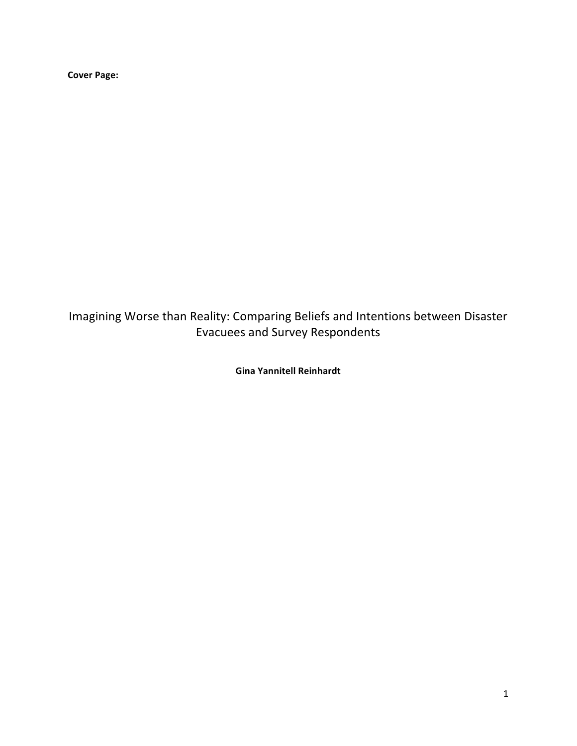**Cover Page:**

Imagining Worse than Reality: Comparing Beliefs and Intentions between Disaster Evacuees and Survey Respondents

**Gina Yannitell Reinhardt**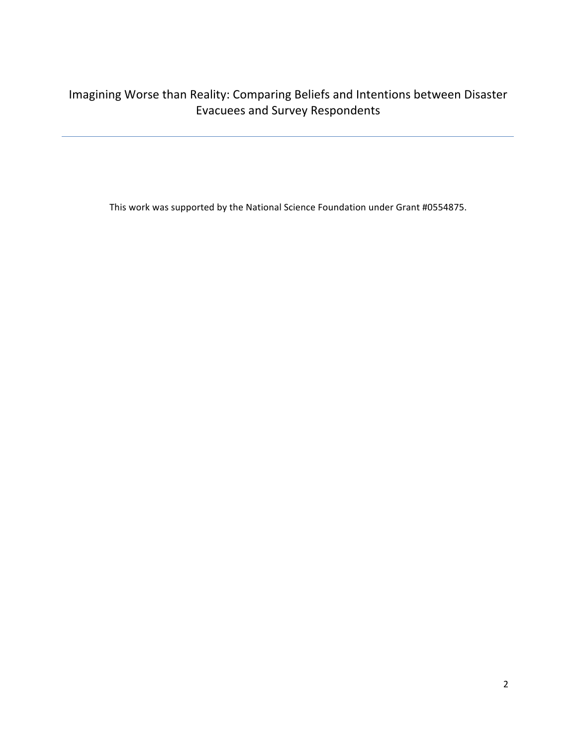# Imagining Worse than Reality: Comparing Beliefs and Intentions between Disaster Evacuees and Survey Respondents

This work was supported by the National Science Foundation under Grant #0554875.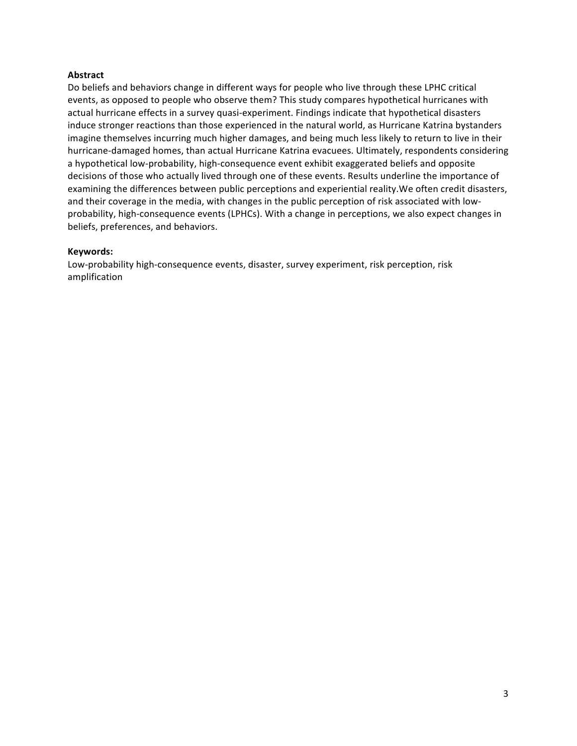# **Abstract**

Do beliefs and behaviors change in different ways for people who live through these LPHC critical events, as opposed to people who observe them? This study compares hypothetical hurricanes with actual hurricane effects in a survey quasi-experiment. Findings indicate that hypothetical disasters induce stronger reactions than those experienced in the natural world, as Hurricane Katrina bystanders imagine themselves incurring much higher damages, and being much less likely to return to live in their hurricane-damaged homes, than actual Hurricane Katrina evacuees. Ultimately, respondents considering a hypothetical low-probability, high-consequence event exhibit exaggerated beliefs and opposite decisions of those who actually lived through one of these events. Results underline the importance of examining the differences between public perceptions and experiential reality. We often credit disasters, and their coverage in the media, with changes in the public perception of risk associated with lowprobability, high-consequence events (LPHCs). With a change in perceptions, we also expect changes in beliefs, preferences, and behaviors.

# **Keywords:**

Low-probability high-consequence events, disaster, survey experiment, risk perception, risk amplification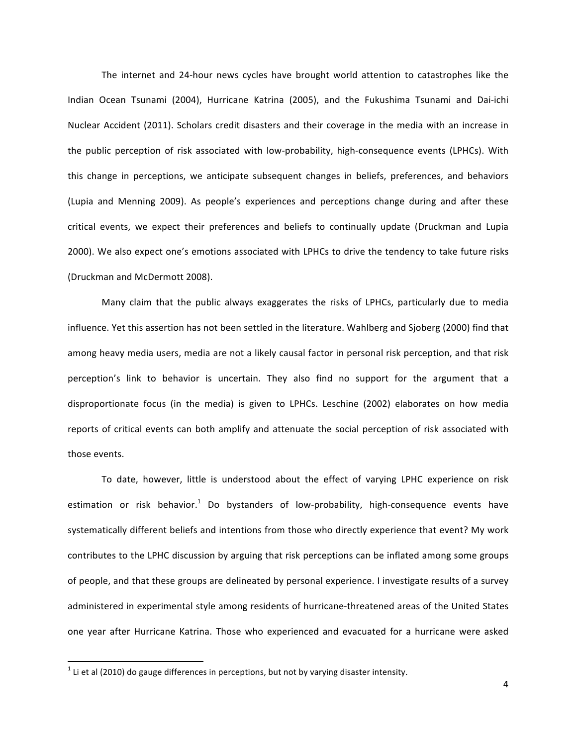The internet and 24-hour news cycles have brought world attention to catastrophes like the Indian Ocean Tsunami (2004), Hurricane Katrina (2005), and the Fukushima Tsunami and Dai-ichi Nuclear Accident (2011). Scholars credit disasters and their coverage in the media with an increase in the public perception of risk associated with low-probability, high-consequence events (LPHCs). With this change in perceptions, we anticipate subsequent changes in beliefs, preferences, and behaviors (Lupia and Menning 2009). As people's experiences and perceptions change during and after these critical events, we expect their preferences and beliefs to continually update (Druckman and Lupia 2000). We also expect one's emotions associated with LPHCs to drive the tendency to take future risks (Druckman and McDermott 2008).

Many claim that the public always exaggerates the risks of LPHCs, particularly due to media influence. Yet this assertion has not been settled in the literature. Wahlberg and Sjoberg (2000) find that among heavy media users, media are not a likely causal factor in personal risk perception, and that risk perception's link to behavior is uncertain. They also find no support for the argument that a disproportionate focus (in the media) is given to LPHCs. Leschine (2002) elaborates on how media reports of critical events can both amplify and attenuate the social perception of risk associated with those events.

To date, however, little is understood about the effect of varying LPHC experience on risk estimation or risk behavior.<sup>1</sup> Do bystanders of low-probability, high-consequence events have systematically different beliefs and intentions from those who directly experience that event? My work contributes to the LPHC discussion by arguing that risk perceptions can be inflated among some groups of people, and that these groups are delineated by personal experience. I investigate results of a survey administered in experimental style among residents of hurricane-threatened areas of the United States one year after Hurricane Katrina. Those who experienced and evacuated for a hurricane were asked

 $1$  Li et al (2010) do gauge differences in perceptions, but not by varying disaster intensity.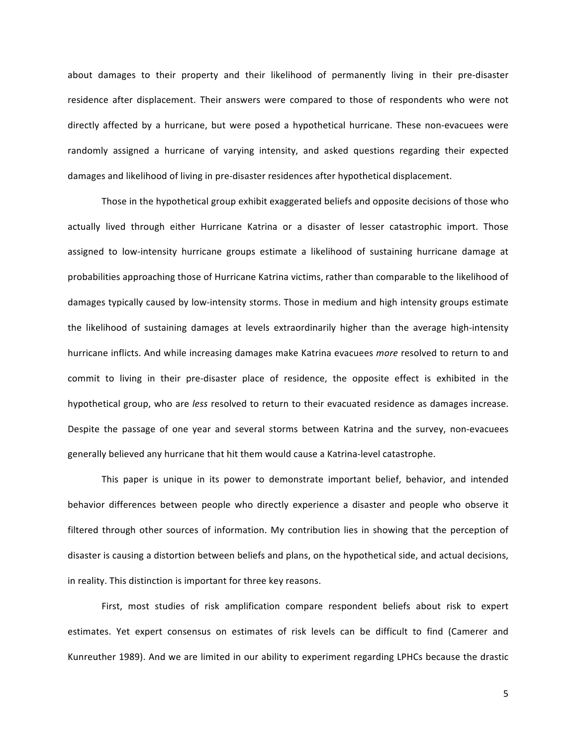about damages to their property and their likelihood of permanently living in their pre-disaster residence after displacement. Their answers were compared to those of respondents who were not directly affected by a hurricane, but were posed a hypothetical hurricane. These non-evacuees were randomly assigned a hurricane of varying intensity, and asked questions regarding their expected damages and likelihood of living in pre-disaster residences after hypothetical displacement.

Those in the hypothetical group exhibit exaggerated beliefs and opposite decisions of those who actually lived through either Hurricane Katrina or a disaster of lesser catastrophic import. Those assigned to low-intensity hurricane groups estimate a likelihood of sustaining hurricane damage at probabilities approaching those of Hurricane Katrina victims, rather than comparable to the likelihood of damages typically caused by low-intensity storms. Those in medium and high intensity groups estimate the likelihood of sustaining damages at levels extraordinarily higher than the average high-intensity hurricane inflicts. And while increasing damages make Katrina evacuees *more* resolved to return to and commit to living in their pre-disaster place of residence, the opposite effect is exhibited in the hypothetical group, who are *less* resolved to return to their evacuated residence as damages increase. Despite the passage of one year and several storms between Katrina and the survey, non-evacuees generally believed any hurricane that hit them would cause a Katrina-level catastrophe.

This paper is unique in its power to demonstrate important belief, behavior, and intended behavior differences between people who directly experience a disaster and people who observe it filtered through other sources of information. My contribution lies in showing that the perception of disaster is causing a distortion between beliefs and plans, on the hypothetical side, and actual decisions, in reality. This distinction is important for three key reasons.

First, most studies of risk amplification compare respondent beliefs about risk to expert estimates. Yet expert consensus on estimates of risk levels can be difficult to find (Camerer and Kunreuther 1989). And we are limited in our ability to experiment regarding LPHCs because the drastic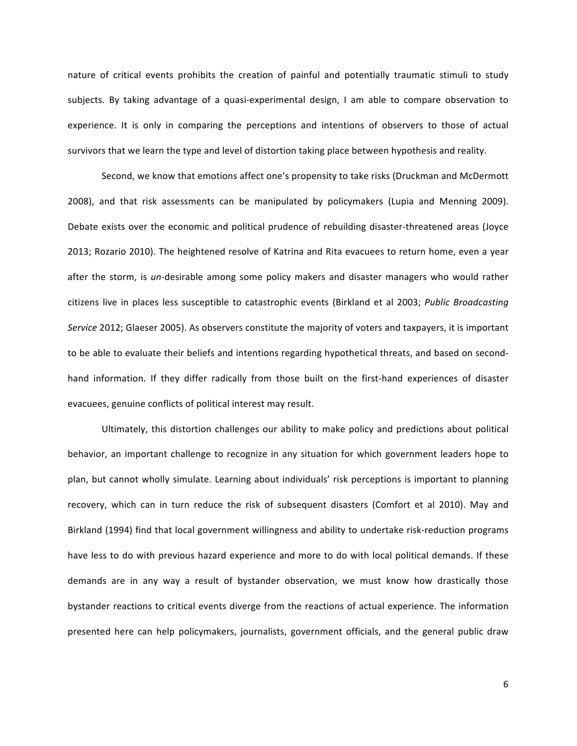nature of critical events prohibits the creation of painful and potentially traumatic stimuli to study subjects. By taking advantage of a quasi-experimental design, I am able to compare observation to experience. It is only in comparing the perceptions and intentions of observers to those of actual survivors that we learn the type and level of distortion taking place between hypothesis and reality.

Second, we know that emotions affect one's propensity to take risks (Druckman and McDermott 2008), and that risk assessments can be manipulated by policymakers (Lupia and Menning 2009). Debate exists over the economic and political prudence of rebuilding disaster-threatened areas (Joyce 2013; Rozario 2010). The heightened resolve of Katrina and Rita evacuees to return home, even a year after the storm, is *un*-desirable among some policy makers and disaster managers who would rather citizens live in places less susceptible to catastrophic events (Birkland et al 2003; *Public Broadcasting* Service 2012; Glaeser 2005). As observers constitute the majority of voters and taxpayers, it is important to be able to evaluate their beliefs and intentions regarding hypothetical threats, and based on secondhand information. If they differ radically from those built on the first-hand experiences of disaster evacuees, genuine conflicts of political interest may result.

Ultimately, this distortion challenges our ability to make policy and predictions about political behavior, an important challenge to recognize in any situation for which government leaders hope to plan, but cannot wholly simulate. Learning about individuals' risk perceptions is important to planning recovery, which can in turn reduce the risk of subsequent disasters (Comfort et al 2010). May and Birkland (1994) find that local government willingness and ability to undertake risk-reduction programs have less to do with previous hazard experience and more to do with local political demands. If these demands are in any way a result of bystander observation, we must know how drastically those bystander reactions to critical events diverge from the reactions of actual experience. The information presented here can help policymakers, journalists, government officials, and the general public draw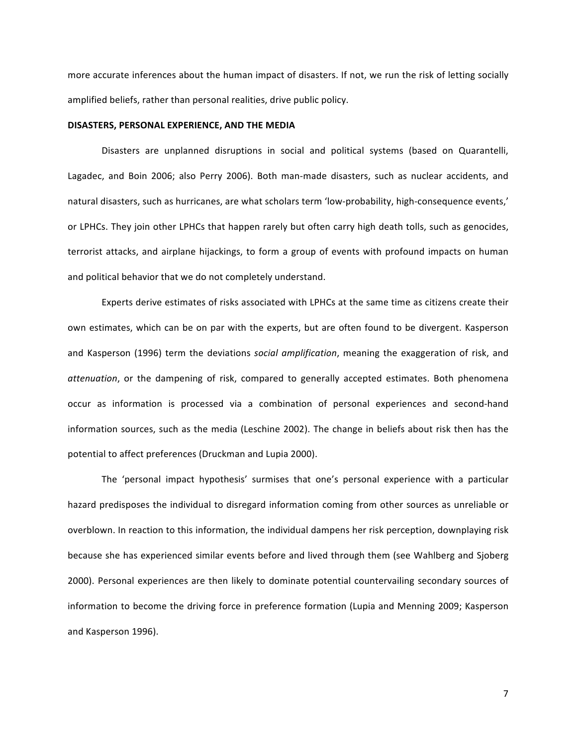more accurate inferences about the human impact of disasters. If not, we run the risk of letting socially amplified beliefs, rather than personal realities, drive public policy.

#### DISASTERS, PERSONAL EXPERIENCE, AND THE MEDIA

Disasters are unplanned disruptions in social and political systems (based on Quarantelli, Lagadec, and Boin 2006; also Perry 2006). Both man-made disasters, such as nuclear accidents, and natural disasters, such as hurricanes, are what scholars term 'low-probability, high-consequence events,' or LPHCs. They join other LPHCs that happen rarely but often carry high death tolls, such as genocides, terrorist attacks, and airplane hijackings, to form a group of events with profound impacts on human and political behavior that we do not completely understand.

Experts derive estimates of risks associated with LPHCs at the same time as citizens create their own estimates, which can be on par with the experts, but are often found to be divergent. Kasperson and Kasperson (1996) term the deviations *social amplification*, meaning the exaggeration of risk, and *attenuation*, or the dampening of risk, compared to generally accepted estimates. Both phenomena occur as information is processed via a combination of personal experiences and second-hand information sources, such as the media (Leschine 2002). The change in beliefs about risk then has the potential to affect preferences (Druckman and Lupia 2000).

The 'personal impact hypothesis' surmises that one's personal experience with a particular hazard predisposes the individual to disregard information coming from other sources as unreliable or overblown. In reaction to this information, the individual dampens her risk perception, downplaying risk because she has experienced similar events before and lived through them (see Wahlberg and Sjoberg 2000). Personal experiences are then likely to dominate potential countervailing secondary sources of information to become the driving force in preference formation (Lupia and Menning 2009; Kasperson and Kasperson 1996).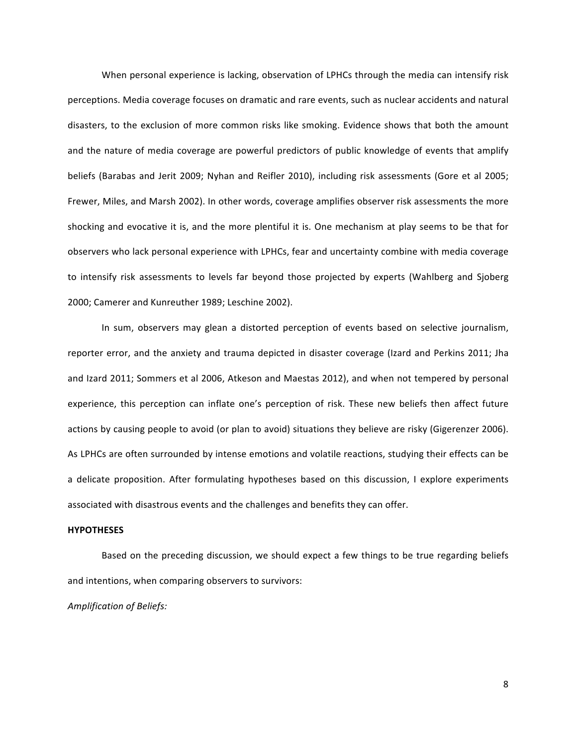When personal experience is lacking, observation of LPHCs through the media can intensify risk perceptions. Media coverage focuses on dramatic and rare events, such as nuclear accidents and natural disasters, to the exclusion of more common risks like smoking. Evidence shows that both the amount and the nature of media coverage are powerful predictors of public knowledge of events that amplify beliefs (Barabas and Jerit 2009; Nyhan and Reifler 2010), including risk assessments (Gore et al 2005; Frewer, Miles, and Marsh 2002). In other words, coverage amplifies observer risk assessments the more shocking and evocative it is, and the more plentiful it is. One mechanism at play seems to be that for observers who lack personal experience with LPHCs, fear and uncertainty combine with media coverage to intensify risk assessments to levels far beyond those projected by experts (Wahlberg and Sjoberg 2000; Camerer and Kunreuther 1989; Leschine 2002).

In sum, observers may glean a distorted perception of events based on selective journalism, reporter error, and the anxiety and trauma depicted in disaster coverage (Izard and Perkins 2011; Jha and Izard 2011; Sommers et al 2006, Atkeson and Maestas 2012), and when not tempered by personal experience, this perception can inflate one's perception of risk. These new beliefs then affect future actions by causing people to avoid (or plan to avoid) situations they believe are risky (Gigerenzer 2006). As LPHCs are often surrounded by intense emotions and volatile reactions, studying their effects can be a delicate proposition. After formulating hypotheses based on this discussion, I explore experiments associated with disastrous events and the challenges and benefits they can offer.

## **HYPOTHESES**

Based on the preceding discussion, we should expect a few things to be true regarding beliefs and intentions, when comparing observers to survivors:

*Amplification of Beliefs:*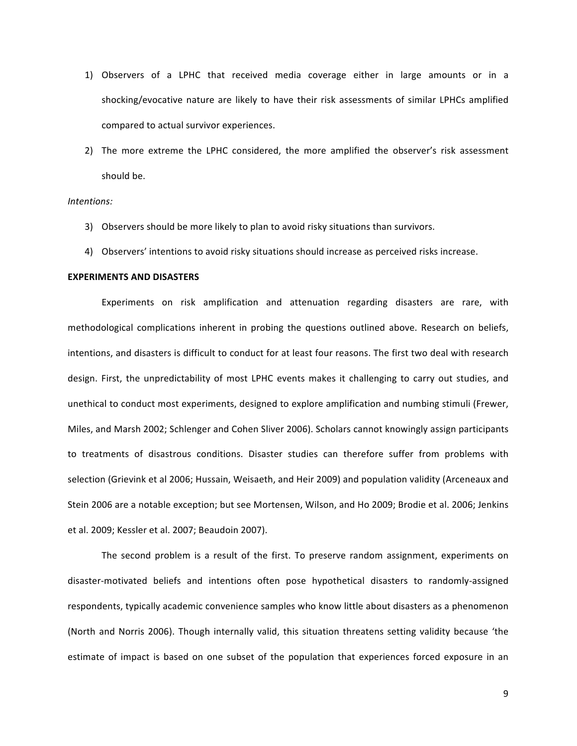- 1) Observers of a LPHC that received media coverage either in large amounts or in a shocking/evocative nature are likely to have their risk assessments of similar LPHCs amplified compared to actual survivor experiences.
- 2) The more extreme the LPHC considered, the more amplified the observer's risk assessment should be.

## *Intentions:*

- 3) Observers should be more likely to plan to avoid risky situations than survivors.
- 4) Observers' intentions to avoid risky situations should increase as perceived risks increase.

#### **EXPERIMENTS AND DISASTERS**

Experiments on risk amplification and attenuation regarding disasters are rare, with methodological complications inherent in probing the questions outlined above. Research on beliefs, intentions, and disasters is difficult to conduct for at least four reasons. The first two deal with research design. First, the unpredictability of most LPHC events makes it challenging to carry out studies, and unethical to conduct most experiments, designed to explore amplification and numbing stimuli (Frewer, Miles, and Marsh 2002; Schlenger and Cohen Sliver 2006). Scholars cannot knowingly assign participants to treatments of disastrous conditions. Disaster studies can therefore suffer from problems with selection (Grievink et al 2006; Hussain, Weisaeth, and Heir 2009) and population validity (Arceneaux and Stein 2006 are a notable exception; but see Mortensen, Wilson, and Ho 2009; Brodie et al. 2006; Jenkins et al. 2009; Kessler et al. 2007; Beaudoin 2007).

The second problem is a result of the first. To preserve random assignment, experiments on disaster-motivated beliefs and intentions often pose hypothetical disasters to randomly-assigned respondents, typically academic convenience samples who know little about disasters as a phenomenon (North and Norris 2006). Though internally valid, this situation threatens setting validity because 'the estimate of impact is based on one subset of the population that experiences forced exposure in an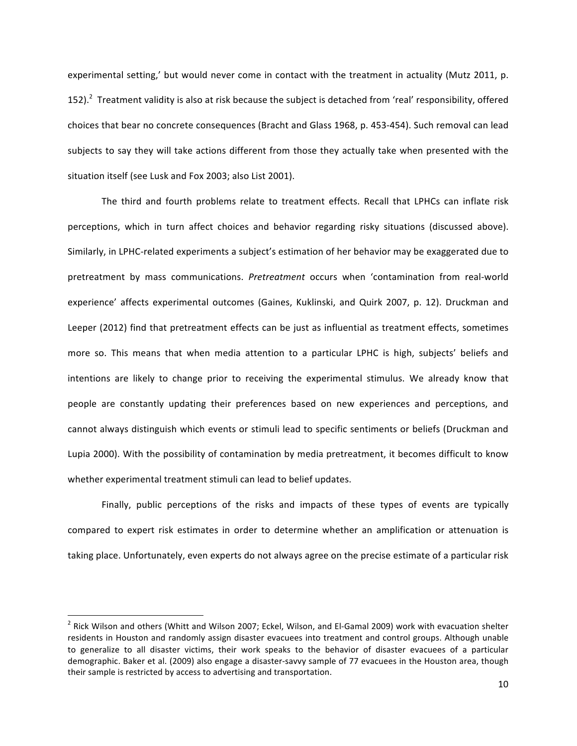experimental setting,' but would never come in contact with the treatment in actuality (Mutz 2011, p. 152). $^2$  Treatment validity is also at risk because the subject is detached from 'real' responsibility, offered choices that bear no concrete consequences (Bracht and Glass 1968, p. 453-454). Such removal can lead subjects to say they will take actions different from those they actually take when presented with the situation itself (see Lusk and Fox 2003; also List 2001).

The third and fourth problems relate to treatment effects. Recall that LPHCs can inflate risk perceptions, which in turn affect choices and behavior regarding risky situations (discussed above). Similarly, in LPHC-related experiments a subject's estimation of her behavior may be exaggerated due to pretreatment by mass communications. *Pretreatment* occurs when 'contamination from real-world experience' affects experimental outcomes (Gaines, Kuklinski, and Quirk 2007, p. 12). Druckman and Leeper (2012) find that pretreatment effects can be just as influential as treatment effects, sometimes more so. This means that when media attention to a particular LPHC is high, subjects' beliefs and intentions are likely to change prior to receiving the experimental stimulus. We already know that people are constantly updating their preferences based on new experiences and perceptions, and cannot always distinguish which events or stimuli lead to specific sentiments or beliefs (Druckman and Lupia 2000). With the possibility of contamination by media pretreatment, it becomes difficult to know whether experimental treatment stimuli can lead to belief updates.

Finally, public perceptions of the risks and impacts of these types of events are typically compared to expert risk estimates in order to determine whether an amplification or attenuation is taking place. Unfortunately, even experts do not always agree on the precise estimate of a particular risk

 $^2$  Rick Wilson and others (Whitt and Wilson 2007; Eckel, Wilson, and El-Gamal 2009) work with evacuation shelter residents in Houston and randomly assign disaster evacuees into treatment and control groups. Although unable to generalize to all disaster victims, their work speaks to the behavior of disaster evacuees of a particular demographic. Baker et al. (2009) also engage a disaster-savvy sample of 77 evacuees in the Houston area, though their sample is restricted by access to advertising and transportation.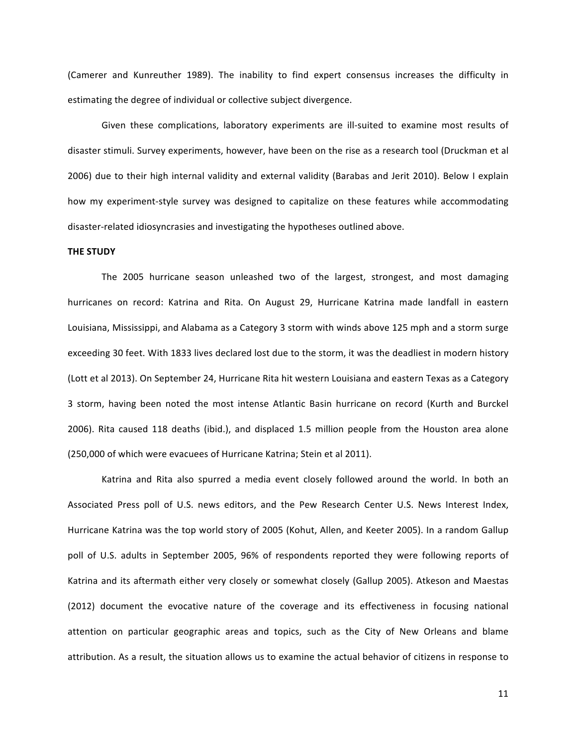(Camerer and Kunreuther 1989). The inability to find expert consensus increases the difficulty in estimating the degree of individual or collective subject divergence.

Given these complications, laboratory experiments are ill-suited to examine most results of disaster stimuli. Survey experiments, however, have been on the rise as a research tool (Druckman et al 2006) due to their high internal validity and external validity (Barabas and Jerit 2010). Below I explain how my experiment-style survey was designed to capitalize on these features while accommodating disaster-related idiosyncrasies and investigating the hypotheses outlined above.

#### **THE STUDY**

The 2005 hurricane season unleashed two of the largest, strongest, and most damaging hurricanes on record: Katrina and Rita. On August 29, Hurricane Katrina made landfall in eastern Louisiana, Mississippi, and Alabama as a Category 3 storm with winds above 125 mph and a storm surge exceeding 30 feet. With 1833 lives declared lost due to the storm, it was the deadliest in modern history (Lott et al 2013). On September 24, Hurricane Rita hit western Louisiana and eastern Texas as a Category 3 storm, having been noted the most intense Atlantic Basin hurricane on record (Kurth and Burckel 2006). Rita caused 118 deaths (ibid.), and displaced 1.5 million people from the Houston area alone (250,000 of which were evacuees of Hurricane Katrina; Stein et al 2011).

Katrina and Rita also spurred a media event closely followed around the world. In both an Associated Press poll of U.S. news editors, and the Pew Research Center U.S. News Interest Index, Hurricane Katrina was the top world story of 2005 (Kohut, Allen, and Keeter 2005). In a random Gallup poll of U.S. adults in September 2005, 96% of respondents reported they were following reports of Katrina and its aftermath either very closely or somewhat closely (Gallup 2005). Atkeson and Maestas (2012) document the evocative nature of the coverage and its effectiveness in focusing national attention on particular geographic areas and topics, such as the City of New Orleans and blame attribution. As a result, the situation allows us to examine the actual behavior of citizens in response to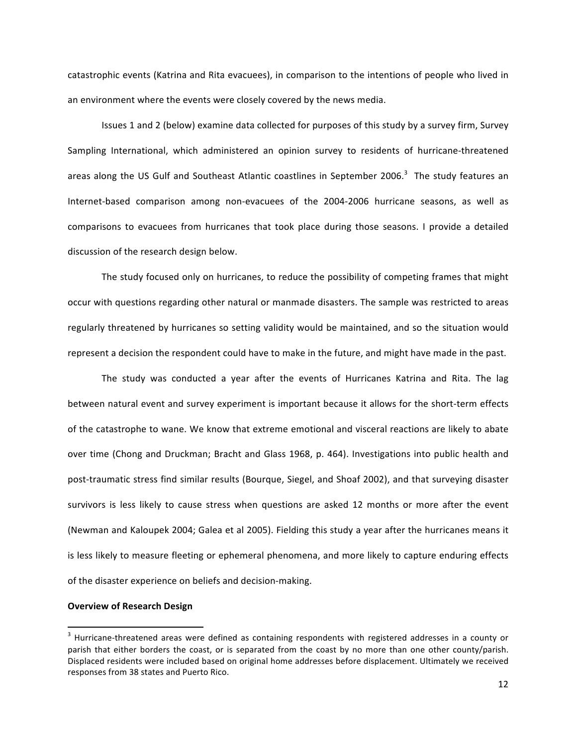catastrophic events (Katrina and Rita evacuees), in comparison to the intentions of people who lived in an environment where the events were closely covered by the news media.

Issues 1 and 2 (below) examine data collected for purposes of this study by a survey firm, Survey Sampling International, which administered an opinion survey to residents of hurricane-threatened areas along the US Gulf and Southeast Atlantic coastlines in September 2006.<sup>3</sup> The study features an Internet-based comparison among non-evacuees of the 2004-2006 hurricane seasons, as well as comparisons to evacuees from hurricanes that took place during those seasons. I provide a detailed discussion of the research design below.

The study focused only on hurricanes, to reduce the possibility of competing frames that might occur with questions regarding other natural or manmade disasters. The sample was restricted to areas regularly threatened by hurricanes so setting validity would be maintained, and so the situation would represent a decision the respondent could have to make in the future, and might have made in the past.

The study was conducted a year after the events of Hurricanes Katrina and Rita. The lag between natural event and survey experiment is important because it allows for the short-term effects of the catastrophe to wane. We know that extreme emotional and visceral reactions are likely to abate over time (Chong and Druckman; Bracht and Glass 1968, p. 464). Investigations into public health and post-traumatic stress find similar results (Bourque, Siegel, and Shoaf 2002), and that surveying disaster survivors is less likely to cause stress when questions are asked 12 months or more after the event (Newman and Kaloupek 2004; Galea et al 2005). Fielding this study a year after the hurricanes means it is less likely to measure fleeting or ephemeral phenomena, and more likely to capture enduring effects of the disaster experience on beliefs and decision-making.

## **Overview of Research Design**

 $3$  Hurricane-threatened areas were defined as containing respondents with registered addresses in a county or parish that either borders the coast, or is separated from the coast by no more than one other county/parish. Displaced residents were included based on original home addresses before displacement. Ultimately we received responses from 38 states and Puerto Rico.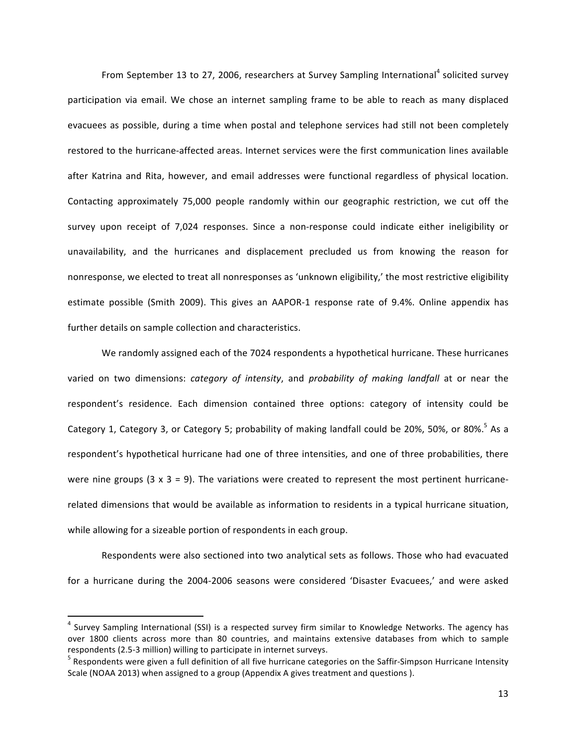From September 13 to 27, 2006, researchers at Survey Sampling International<sup>4</sup> solicited survey participation via email. We chose an internet sampling frame to be able to reach as many displaced evacuees as possible, during a time when postal and telephone services had still not been completely restored to the hurricane-affected areas. Internet services were the first communication lines available after Katrina and Rita, however, and email addresses were functional regardless of physical location. Contacting approximately 75,000 people randomly within our geographic restriction, we cut off the survey upon receipt of 7,024 responses. Since a non-response could indicate either ineligibility or unavailability, and the hurricanes and displacement precluded us from knowing the reason for nonresponse, we elected to treat all nonresponses as 'unknown eligibility,' the most restrictive eligibility estimate possible (Smith 2009). This gives an AAPOR-1 response rate of 9.4%. Online appendix has further details on sample collection and characteristics.

We randomly assigned each of the 7024 respondents a hypothetical hurricane. These hurricanes varied on two dimensions: *category of intensity*, and *probability of making landfall* at or near the respondent's residence. Each dimension contained three options: category of intensity could be Category 1, Category 3, or Category 5; probability of making landfall could be 20%, 50%, or 80%.<sup>5</sup> As a respondent's hypothetical hurricane had one of three intensities, and one of three probabilities, there were nine groups  $(3 \times 3 = 9)$ . The variations were created to represent the most pertinent hurricanerelated dimensions that would be available as information to residents in a typical hurricane situation, while allowing for a sizeable portion of respondents in each group.

Respondents were also sectioned into two analytical sets as follows. Those who had evacuated for a hurricane during the 2004-2006 seasons were considered 'Disaster Evacuees,' and were asked

 $4$  Survey Sampling International (SSI) is a respected survey firm similar to Knowledge Networks. The agency has over 1800 clients across more than 80 countries, and maintains extensive databases from which to sample respondents (2.5-3 million) willing to participate in internet surveys.<br><sup>5</sup> Respondents were given a full definition of all five hurricane categories on the Saffir-Simpson Hurricane Intensity

Scale (NOAA 2013) when assigned to a group (Appendix A gives treatment and questions ).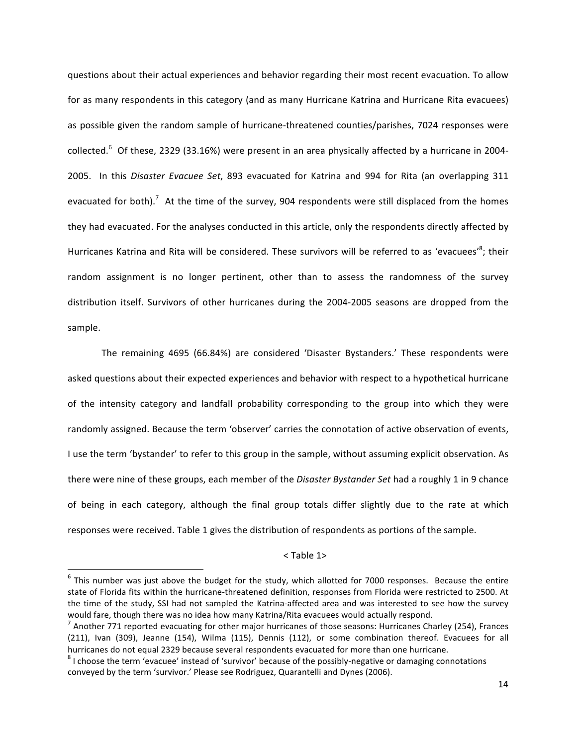questions about their actual experiences and behavior regarding their most recent evacuation. To allow for as many respondents in this category (and as many Hurricane Katrina and Hurricane Rita evacuees) as possible given the random sample of hurricane-threatened counties/parishes, 7024 responses were collected.<sup>6</sup> Of these, 2329 (33.16%) were present in an area physically affected by a hurricane in 2004-2005. In this Disaster Evacuee Set, 893 evacuated for Katrina and 994 for Rita (an overlapping 311 evacuated for both).<sup>7</sup> At the time of the survey, 904 respondents were still displaced from the homes they had evacuated. For the analyses conducted in this article, only the respondents directly affected by Hurricanes Katrina and Rita will be considered. These survivors will be referred to as 'evacuees'<sup>8</sup>; their random assignment is no longer pertinent, other than to assess the randomness of the survey distribution itself. Survivors of other hurricanes during the 2004-2005 seasons are dropped from the sample. 

The remaining 4695 (66.84%) are considered 'Disaster Bystanders.' These respondents were asked questions about their expected experiences and behavior with respect to a hypothetical hurricane of the intensity category and landfall probability corresponding to the group into which they were randomly assigned. Because the term 'observer' carries the connotation of active observation of events, I use the term 'bystander' to refer to this group in the sample, without assuming explicit observation. As there were nine of these groups, each member of the *Disaster Bystander Set* had a roughly 1 in 9 chance of being in each category, although the final group totals differ slightly due to the rate at which responses were received. Table 1 gives the distribution of respondents as portions of the sample.

#### $<$ Table 1>

 $6$  This number was just above the budget for the study, which allotted for 7000 responses. Because the entire state of Florida fits within the hurricane-threatened definition, responses from Florida were restricted to 2500. At the time of the study, SSI had not sampled the Katrina-affected area and was interested to see how the survey would fare, though there was no idea how many Katrina/Rita evacuees would actually respond.

 $^7$  Another 771 reported evacuating for other major hurricanes of those seasons: Hurricanes Charley (254), Frances (211), Ivan (309), Jeanne (154), Wilma (115), Dennis (112), or some combination thereof. Evacuees for all hurricanes do not equal 2329 because several respondents evacuated for more than one hurricane.

 $8$  I choose the term 'evacuee' instead of 'survivor' because of the possibly-negative or damaging connotations conveyed by the term 'survivor.' Please see Rodriguez, Quarantelli and Dynes (2006).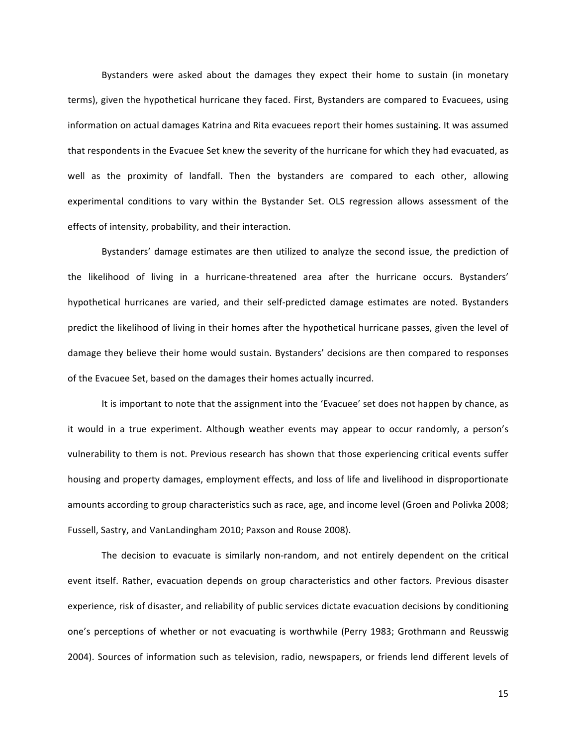Bystanders were asked about the damages they expect their home to sustain (in monetary terms), given the hypothetical hurricane they faced. First, Bystanders are compared to Evacuees, using information on actual damages Katrina and Rita evacuees report their homes sustaining. It was assumed that respondents in the Evacuee Set knew the severity of the hurricane for which they had evacuated, as well as the proximity of landfall. Then the bystanders are compared to each other, allowing experimental conditions to vary within the Bystander Set. OLS regression allows assessment of the effects of intensity, probability, and their interaction.

Bystanders' damage estimates are then utilized to analyze the second issue, the prediction of the likelihood of living in a hurricane-threatened area after the hurricane occurs. Bystanders' hypothetical hurricanes are varied, and their self-predicted damage estimates are noted. Bystanders predict the likelihood of living in their homes after the hypothetical hurricane passes, given the level of damage they believe their home would sustain. Bystanders' decisions are then compared to responses of the Evacuee Set, based on the damages their homes actually incurred.

It is important to note that the assignment into the 'Evacuee' set does not happen by chance, as it would in a true experiment. Although weather events may appear to occur randomly, a person's vulnerability to them is not. Previous research has shown that those experiencing critical events suffer housing and property damages, employment effects, and loss of life and livelihood in disproportionate amounts according to group characteristics such as race, age, and income level (Groen and Polivka 2008; Fussell, Sastry, and VanLandingham 2010; Paxson and Rouse 2008).

The decision to evacuate is similarly non-random, and not entirely dependent on the critical event itself. Rather, evacuation depends on group characteristics and other factors. Previous disaster experience, risk of disaster, and reliability of public services dictate evacuation decisions by conditioning one's perceptions of whether or not evacuating is worthwhile (Perry 1983; Grothmann and Reusswig 2004). Sources of information such as television, radio, newspapers, or friends lend different levels of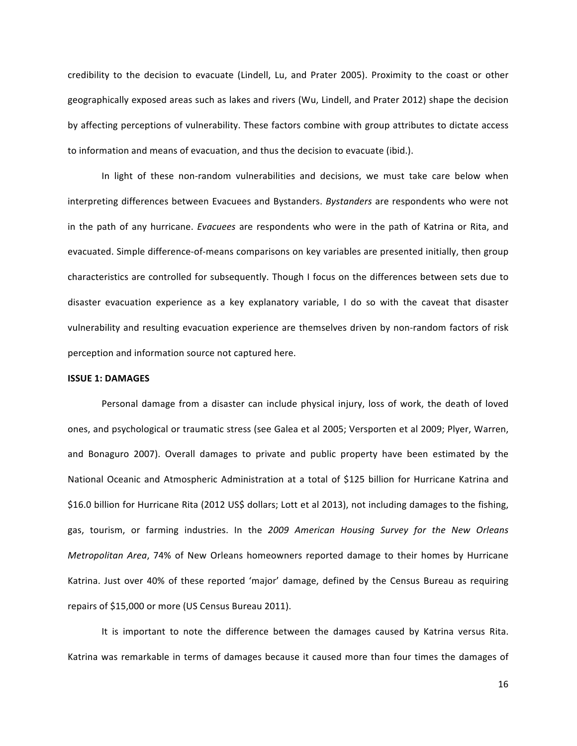credibility to the decision to evacuate (Lindell, Lu, and Prater 2005). Proximity to the coast or other geographically exposed areas such as lakes and rivers (Wu, Lindell, and Prater 2012) shape the decision by affecting perceptions of vulnerability. These factors combine with group attributes to dictate access to information and means of evacuation, and thus the decision to evacuate (ibid.).

In light of these non-random vulnerabilities and decisions, we must take care below when interpreting differences between Evacuees and Bystanders. *Bystanders* are respondents who were not in the path of any hurricane. *Evacuees* are respondents who were in the path of Katrina or Rita, and evacuated. Simple difference-of-means comparisons on key variables are presented initially, then group characteristics are controlled for subsequently. Though I focus on the differences between sets due to disaster evacuation experience as a key explanatory variable, I do so with the caveat that disaster vulnerability and resulting evacuation experience are themselves driven by non-random factors of risk perception and information source not captured here.

## **ISSUE 1: DAMAGES**

Personal damage from a disaster can include physical injury, loss of work, the death of loved ones, and psychological or traumatic stress (see Galea et al 2005; Versporten et al 2009; Plyer, Warren, and Bonaguro 2007). Overall damages to private and public property have been estimated by the National Oceanic and Atmospheric Administration at a total of \$125 billion for Hurricane Katrina and \$16.0 billion for Hurricane Rita (2012 US\$ dollars; Lott et al 2013), not including damages to the fishing, gas, tourism, or farming industries. In the 2009 American Housing Survey for the New Orleans *Metropolitan Area*, 74% of New Orleans homeowners reported damage to their homes by Hurricane Katrina. Just over 40% of these reported 'major' damage, defined by the Census Bureau as requiring repairs of \$15,000 or more (US Census Bureau 2011).

It is important to note the difference between the damages caused by Katrina versus Rita. Katrina was remarkable in terms of damages because it caused more than four times the damages of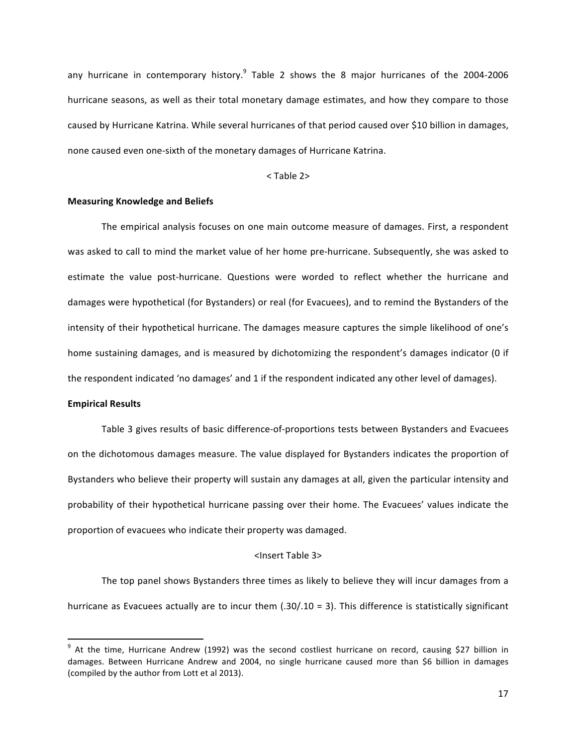any hurricane in contemporary history.<sup>9</sup> Table 2 shows the 8 major hurricanes of the 2004-2006 hurricane seasons, as well as their total monetary damage estimates, and how they compare to those caused by Hurricane Katrina. While several hurricanes of that period caused over \$10 billion in damages, none caused even one-sixth of the monetary damages of Hurricane Katrina.

## $<$ Table 2 $>$

## **Measuring Knowledge and Beliefs**

The empirical analysis focuses on one main outcome measure of damages. First, a respondent was asked to call to mind the market value of her home pre-hurricane. Subsequently, she was asked to estimate the value post-hurricane. Questions were worded to reflect whether the hurricane and damages were hypothetical (for Bystanders) or real (for Evacuees), and to remind the Bystanders of the intensity of their hypothetical hurricane. The damages measure captures the simple likelihood of one's home sustaining damages, and is measured by dichotomizing the respondent's damages indicator (0 if the respondent indicated 'no damages' and 1 if the respondent indicated any other level of damages).

# **Empirical Results**

<u> 1989 - Jan Samuel Barbara, margaret e</u>

Table 3 gives results of basic difference-of-proportions tests between Bystanders and Evacuees on the dichotomous damages measure. The value displayed for Bystanders indicates the proportion of Bystanders who believe their property will sustain any damages at all, given the particular intensity and probability of their hypothetical hurricane passing over their home. The Evacuees' values indicate the proportion of evacuees who indicate their property was damaged.

#### <Insert Table 3>

The top panel shows Bystanders three times as likely to believe they will incur damages from a hurricane as Evacuees actually are to incur them  $(.30/.10 = 3)$ . This difference is statistically significant

 $9$  At the time, Hurricane Andrew (1992) was the second costliest hurricane on record, causing \$27 billion in damages. Between Hurricane Andrew and 2004, no single hurricane caused more than \$6 billion in damages (compiled by the author from Lott et al 2013).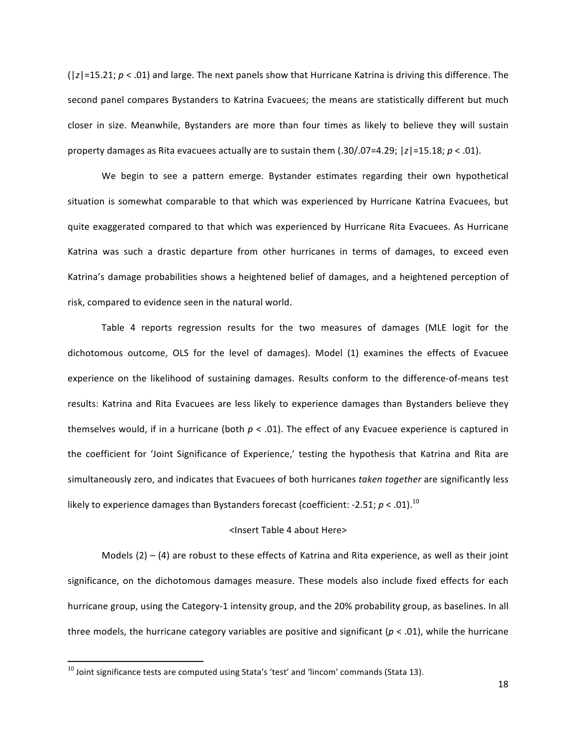$(|z|=15.21; p < .01)$  and large. The next panels show that Hurricane Katrina is driving this difference. The second panel compares Bystanders to Katrina Evacuees; the means are statistically different but much closer in size. Meanwhile, Bystanders are more than four times as likely to believe they will sustain property damages as Rita evacuees actually are to sustain them  $(.30/.07=4.29; |z|=15.18; p < .01$ ).

We begin to see a pattern emerge. Bystander estimates regarding their own hypothetical situation is somewhat comparable to that which was experienced by Hurricane Katrina Evacuees, but quite exaggerated compared to that which was experienced by Hurricane Rita Evacuees. As Hurricane Katrina was such a drastic departure from other hurricanes in terms of damages, to exceed even Katrina's damage probabilities shows a heightened belief of damages, and a heightened perception of risk, compared to evidence seen in the natural world.

Table 4 reports regression results for the two measures of damages (MLE logit for the dichotomous outcome, OLS for the level of damages). Model (1) examines the effects of Evacuee experience on the likelihood of sustaining damages. Results conform to the difference-of-means test results: Katrina and Rita Evacuees are less likely to experience damages than Bystanders believe they themselves would, if in a hurricane (both  $p < .01$ ). The effect of any Evacuee experience is captured in the coefficient for 'Joint Significance of Experience,' testing the hypothesis that Katrina and Rita are simultaneously zero, and indicates that Evacuees of both hurricanes *taken together* are significantly less likely to experience damages than Bystanders forecast (coefficient: -2.51;  $p$  < .01).<sup>10</sup>

# <Insert Table 4 about Here>

Models  $(2) - (4)$  are robust to these effects of Katrina and Rita experience, as well as their joint significance, on the dichotomous damages measure. These models also include fixed effects for each hurricane group, using the Category-1 intensity group, and the 20% probability group, as baselines. In all three models, the hurricane category variables are positive and significant  $(p < .01)$ , while the hurricane

 $^{10}$  Joint significance tests are computed using Stata's 'test' and 'lincom' commands (Stata 13).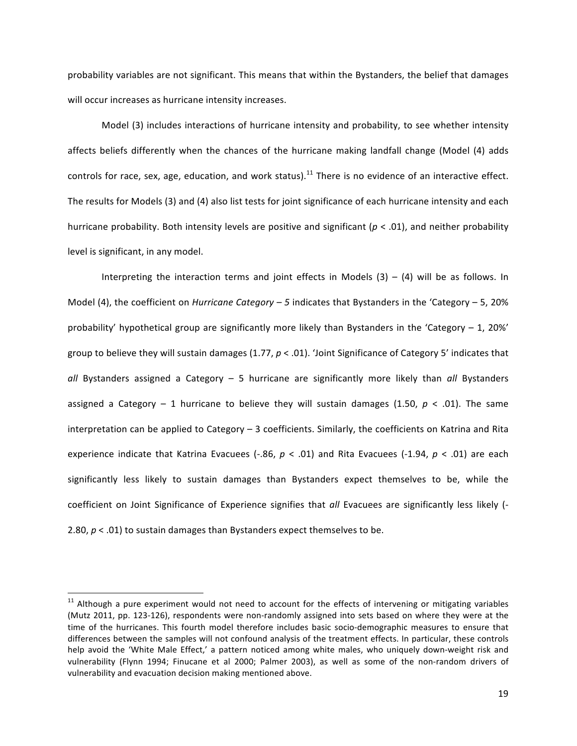probability variables are not significant. This means that within the Bystanders, the belief that damages will occur increases as hurricane intensity increases.

Model (3) includes interactions of hurricane intensity and probability, to see whether intensity affects beliefs differently when the chances of the hurricane making landfall change (Model (4) adds controls for race, sex, age, education, and work status).<sup>11</sup> There is no evidence of an interactive effect. The results for Models (3) and (4) also list tests for joint significance of each hurricane intensity and each hurricane probability. Both intensity levels are positive and significant ( $p < .01$ ), and neither probability level is significant, in any model.

Interpreting the interaction terms and joint effects in Models  $(3) - (4)$  will be as follows. In Model (4), the coefficient on *Hurricane Category* – 5 indicates that Bystanders in the 'Category – 5, 20% probability' hypothetical group are significantly more likely than Bystanders in the 'Category – 1, 20%' group to believe they will sustain damages  $(1.77, p < .01)$ . 'Joint Significance of Category 5' indicates that all Bystanders assigned a Category – 5 hurricane are significantly more likely than all Bystanders assigned a Category – 1 hurricane to believe they will sustain damages (1.50,  $p < .01$ ). The same interpretation can be applied to Category  $-$  3 coefficients. Similarly, the coefficients on Katrina and Rita experience indicate that Katrina Evacuees  $(-.86, p < .01)$  and Rita Evacuees  $(-1.94, p < .01)$  are each significantly less likely to sustain damages than Bystanders expect themselves to be, while the coefficient on Joint Significance of Experience signifies that all Evacuees are significantly less likely (-2.80,  $p < .01$ ) to sustain damages than Bystanders expect themselves to be.

 $11$  Although a pure experiment would not need to account for the effects of intervening or mitigating variables (Mutz 2011, pp. 123-126), respondents were non-randomly assigned into sets based on where they were at the time of the hurricanes. This fourth model therefore includes basic socio-demographic measures to ensure that differences between the samples will not confound analysis of the treatment effects. In particular, these controls help avoid the 'White Male Effect,' a pattern noticed among white males, who uniquely down-weight risk and vulnerability (Flynn 1994; Finucane et al 2000; Palmer 2003), as well as some of the non-random drivers of vulnerability and evacuation decision making mentioned above.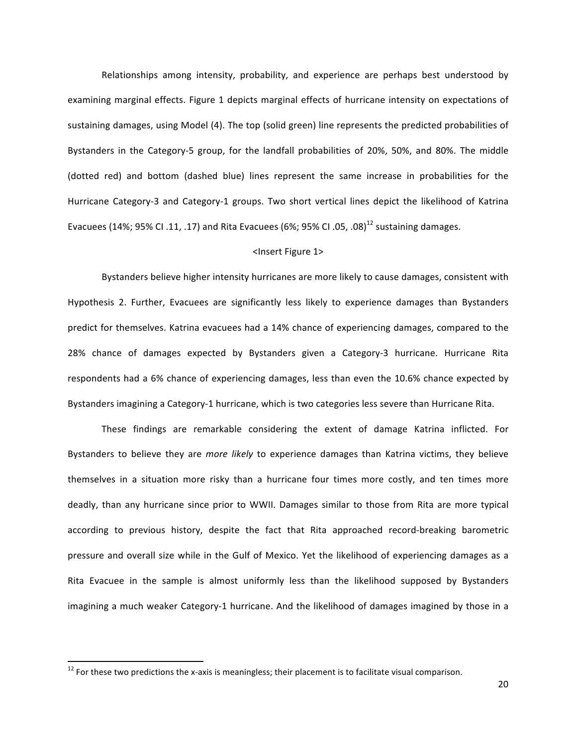Relationships among intensity, probability, and experience are perhaps best understood by examining marginal effects. Figure 1 depicts marginal effects of hurricane intensity on expectations of sustaining damages, using Model (4). The top (solid green) line represents the predicted probabilities of Bystanders in the Category-5 group, for the landfall probabilities of 20%, 50%, and 80%. The middle (dotted red) and bottom (dashed blue) lines represent the same increase in probabilities for the Hurricane Category-3 and Category-1 groups. Two short vertical lines depict the likelihood of Katrina Evacuees (14%; 95% CI .11, .17) and Rita Evacuees (6%; 95% CI .05, .08)<sup>12</sup> sustaining damages.

#### <Insert Figure 1>

Bystanders believe higher intensity hurricanes are more likely to cause damages, consistent with Hypothesis 2. Further, Evacuees are significantly less likely to experience damages than Bystanders predict for themselves. Katrina evacuees had a 14% chance of experiencing damages, compared to the 28% chance of damages expected by Bystanders given a Category-3 hurricane. Hurricane Rita respondents had a 6% chance of experiencing damages, less than even the 10.6% chance expected by Bystanders imagining a Category-1 hurricane, which is two categories less severe than Hurricane Rita.

These findings are remarkable considering the extent of damage Katrina inflicted. For Bystanders to believe they are *more likely* to experience damages than Katrina victims, they believe themselves in a situation more risky than a hurricane four times more costly, and ten times more deadly, than any hurricane since prior to WWII. Damages similar to those from Rita are more typical according to previous history, despite the fact that Rita approached record-breaking barometric pressure and overall size while in the Gulf of Mexico. Yet the likelihood of experiencing damages as a Rita Evacuee in the sample is almost uniformly less than the likelihood supposed by Bystanders imagining a much weaker Category-1 hurricane. And the likelihood of damages imagined by those in a

 $12$  For these two predictions the x-axis is meaningless; their placement is to facilitate visual comparison.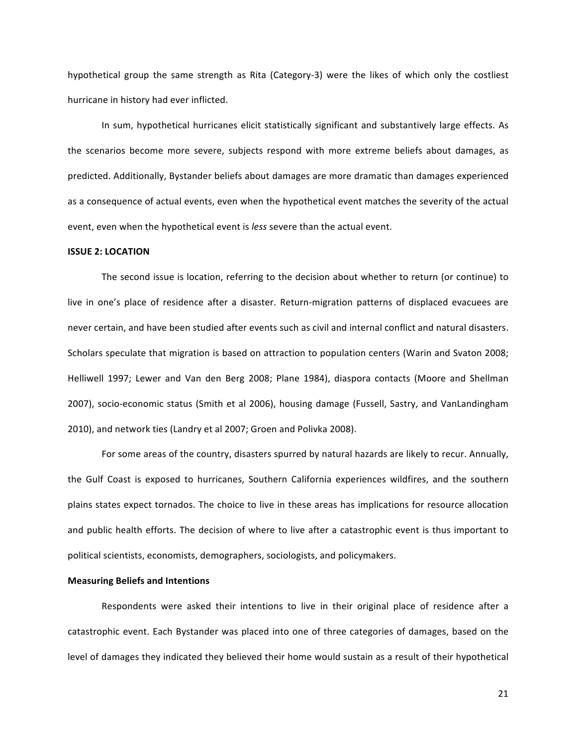hypothetical group the same strength as Rita (Category-3) were the likes of which only the costliest hurricane in history had ever inflicted.

In sum, hypothetical hurricanes elicit statistically significant and substantively large effects. As the scenarios become more severe, subjects respond with more extreme beliefs about damages, as predicted. Additionally, Bystander beliefs about damages are more dramatic than damages experienced as a consequence of actual events, even when the hypothetical event matches the severity of the actual event, even when the hypothetical event is *less* severe than the actual event.

#### **ISSUE 2: LOCATION**

The second issue is location, referring to the decision about whether to return (or continue) to live in one's place of residence after a disaster. Return-migration patterns of displaced evacuees are never certain, and have been studied after events such as civil and internal conflict and natural disasters. Scholars speculate that migration is based on attraction to population centers (Warin and Svaton 2008; Helliwell 1997; Lewer and Van den Berg 2008; Plane 1984), diaspora contacts (Moore and Shellman 2007), socio-economic status (Smith et al 2006), housing damage (Fussell, Sastry, and VanLandingham 2010), and network ties (Landry et al 2007; Groen and Polivka 2008).

For some areas of the country, disasters spurred by natural hazards are likely to recur. Annually, the Gulf Coast is exposed to hurricanes, Southern California experiences wildfires, and the southern plains states expect tornados. The choice to live in these areas has implications for resource allocation and public health efforts. The decision of where to live after a catastrophic event is thus important to political scientists, economists, demographers, sociologists, and policymakers.

## **Measuring Beliefs and Intentions**

Respondents were asked their intentions to live in their original place of residence after a catastrophic event. Each Bystander was placed into one of three categories of damages, based on the level of damages they indicated they believed their home would sustain as a result of their hypothetical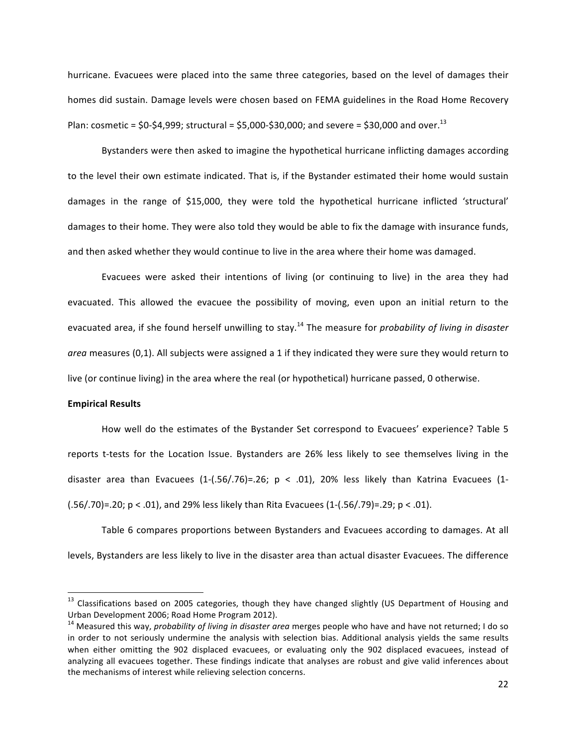hurricane. Evacuees were placed into the same three categories, based on the level of damages their homes did sustain. Damage levels were chosen based on FEMA guidelines in the Road Home Recovery Plan: cosmetic =  $$0-\$4,999$ ; structural =  $$5,000-\$30,000$ ; and severe =  $$30,000$  and over.<sup>13</sup>

Bystanders were then asked to imagine the hypothetical hurricane inflicting damages according to the level their own estimate indicated. That is, if the Bystander estimated their home would sustain damages in the range of \$15,000, they were told the hypothetical hurricane inflicted 'structural' damages to their home. They were also told they would be able to fix the damage with insurance funds, and then asked whether they would continue to live in the area where their home was damaged.

Evacuees were asked their intentions of living (or continuing to live) in the area they had evacuated. This allowed the evacuee the possibility of moving, even upon an initial return to the evacuated area, if she found herself unwilling to stay.<sup>14</sup> The measure for *probability of living in disaster* area measures (0,1). All subjects were assigned a 1 if they indicated they were sure they would return to live (or continue living) in the area where the real (or hypothetical) hurricane passed, 0 otherwise.

# **Empirical Results**

 

How well do the estimates of the Bystander Set correspond to Evacuees' experience? Table 5 reports t-tests for the Location Issue. Bystanders are 26% less likely to see themselves living in the disaster area than Evacuees  $(1-(.56/.76)=.26; p < .01)$ , 20% less likely than Katrina Evacuees  $(1-(.56).76)=.26; p < .01$ , 20% less likely than Katrina Evacuees  $(.56/.70)=.20; p < .01$ ), and 29% less likely than Rita Evacuees  $(1-(.56/.79)=.29; p < .01)$ .

Table 6 compares proportions between Bystanders and Evacuees according to damages. At all levels, Bystanders are less likely to live in the disaster area than actual disaster Evacuees. The difference

 $13$  Classifications based on 2005 categories, though they have changed slightly (US Department of Housing and Urban Development 2006; Road Home Program 2012).<br><sup>14</sup> Measured this way, *probability of living in disaster area* merges people who have and have not returned; I do so

in order to not seriously undermine the analysis with selection bias. Additional analysis yields the same results when either omitting the 902 displaced evacuees, or evaluating only the 902 displaced evacuees, instead of analyzing all evacuees together. These findings indicate that analyses are robust and give valid inferences about the mechanisms of interest while relieving selection concerns.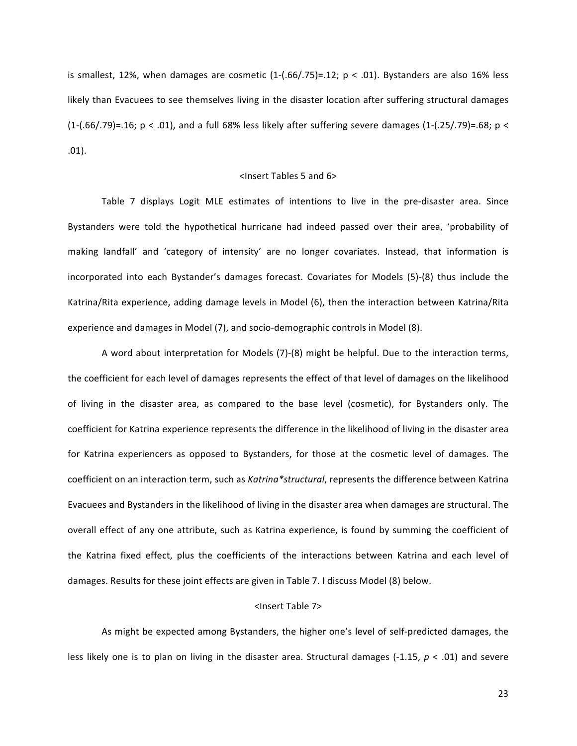is smallest, 12%, when damages are cosmetic  $(1-(.66/.75)=.12; p < .01)$ . Bystanders are also 16% less likely than Evacuees to see themselves living in the disaster location after suffering structural damages  $(1-(.66/.79)=.16; p < .01)$ , and a full 68% less likely after suffering severe damages  $(1-(.25/.79)=.68; p <$ .01).

## <Insert Tables 5 and 6>

Table 7 displays Logit MLE estimates of intentions to live in the pre-disaster area. Since Bystanders were told the hypothetical hurricane had indeed passed over their area, 'probability of making landfall' and 'category of intensity' are no longer covariates. Instead, that information is incorporated into each Bystander's damages forecast. Covariates for Models (5)-(8) thus include the Katrina/Rita experience, adding damage levels in Model (6), then the interaction between Katrina/Rita experience and damages in Model (7), and socio-demographic controls in Model (8).

A word about interpretation for Models (7)-(8) might be helpful. Due to the interaction terms, the coefficient for each level of damages represents the effect of that level of damages on the likelihood of living in the disaster area, as compared to the base level (cosmetic), for Bystanders only. The coefficient for Katrina experience represents the difference in the likelihood of living in the disaster area for Katrina experiencers as opposed to Bystanders, for those at the cosmetic level of damages. The coefficient on an interaction term, such as *Katrina\*structural*, represents the difference between Katrina Evacuees and Bystanders in the likelihood of living in the disaster area when damages are structural. The overall effect of any one attribute, such as Katrina experience, is found by summing the coefficient of the Katrina fixed effect, plus the coefficients of the interactions between Katrina and each level of damages. Results for these joint effects are given in Table 7. I discuss Model (8) below.

#### <Insert Table 7>

As might be expected among Bystanders, the higher one's level of self-predicted damages, the less likely one is to plan on living in the disaster area. Structural damages  $(-1.15, p < .01)$  and severe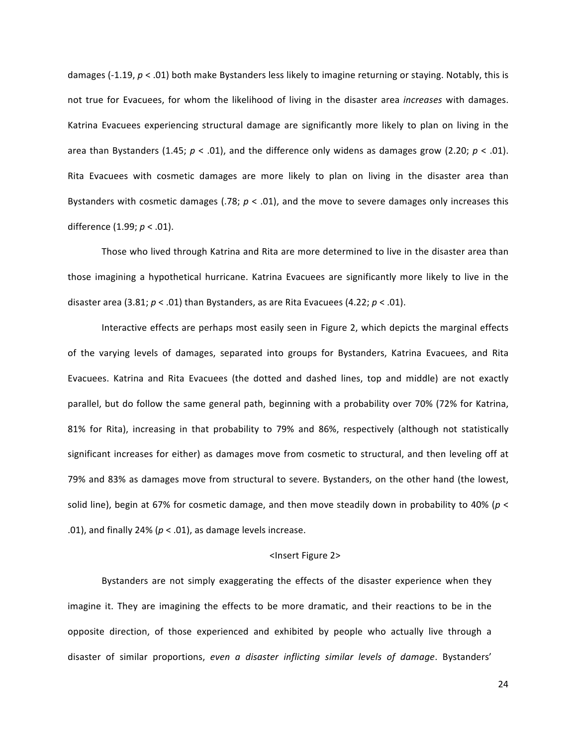damages (-1.19,  $p < .01$ ) both make Bystanders less likely to imagine returning or staying. Notably, this is not true for Evacuees, for whom the likelihood of living in the disaster area *increases* with damages. Katrina Evacuees experiencing structural damage are significantly more likely to plan on living in the area than Bystanders (1.45;  $p < .01$ ), and the difference only widens as damages grow (2.20;  $p < .01$ ). Rita Evacuees with cosmetic damages are more likely to plan on living in the disaster area than Bystanders with cosmetic damages (.78;  $p < .01$ ), and the move to severe damages only increases this difference (1.99; *p* < .01).

Those who lived through Katrina and Rita are more determined to live in the disaster area than those imagining a hypothetical hurricane. Katrina Evacuees are significantly more likely to live in the disaster area  $(3.81; p < .01)$  than Bystanders, as are Rita Evacuees  $(4.22; p < .01)$ .

Interactive effects are perhaps most easily seen in Figure 2, which depicts the marginal effects of the varying levels of damages, separated into groups for Bystanders, Katrina Evacuees, and Rita Evacuees. Katrina and Rita Evacuees (the dotted and dashed lines, top and middle) are not exactly parallel, but do follow the same general path, beginning with a probability over 70% (72% for Katrina, 81% for Rita), increasing in that probability to 79% and 86%, respectively (although not statistically significant increases for either) as damages move from cosmetic to structural, and then leveling off at 79% and 83% as damages move from structural to severe. Bystanders, on the other hand (the lowest, solid line), begin at 67% for cosmetic damage, and then move steadily down in probability to 40% ( $p <$ .01), and finally 24% ( $p < .01$ ), as damage levels increase.

#### <Insert Figure 2>

Bystanders are not simply exaggerating the effects of the disaster experience when they imagine it. They are imagining the effects to be more dramatic, and their reactions to be in the opposite direction, of those experienced and exhibited by people who actually live through a disaster of similar proportions, *even a disaster inflicting similar levels of damage*. Bystanders'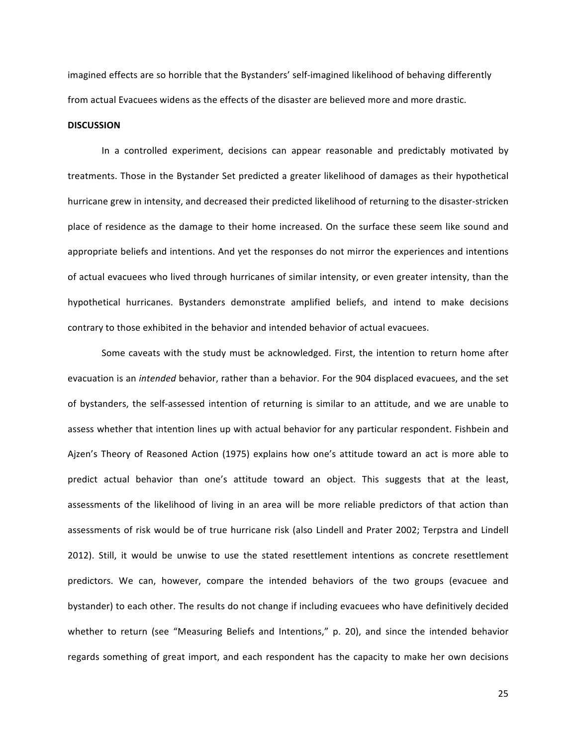imagined effects are so horrible that the Bystanders' self-imagined likelihood of behaving differently from actual Evacuees widens as the effects of the disaster are believed more and more drastic.

#### **DISCUSSION**

In a controlled experiment, decisions can appear reasonable and predictably motivated by treatments. Those in the Bystander Set predicted a greater likelihood of damages as their hypothetical hurricane grew in intensity, and decreased their predicted likelihood of returning to the disaster-stricken place of residence as the damage to their home increased. On the surface these seem like sound and appropriate beliefs and intentions. And yet the responses do not mirror the experiences and intentions of actual evacuees who lived through hurricanes of similar intensity, or even greater intensity, than the hypothetical hurricanes. Bystanders demonstrate amplified beliefs, and intend to make decisions contrary to those exhibited in the behavior and intended behavior of actual evacuees.

Some caveats with the study must be acknowledged. First, the intention to return home after evacuation is an *intended* behavior, rather than a behavior. For the 904 displaced evacuees, and the set of bystanders, the self-assessed intention of returning is similar to an attitude, and we are unable to assess whether that intention lines up with actual behavior for any particular respondent. Fishbein and Ajzen's Theory of Reasoned Action (1975) explains how one's attitude toward an act is more able to predict actual behavior than one's attitude toward an object. This suggests that at the least, assessments of the likelihood of living in an area will be more reliable predictors of that action than assessments of risk would be of true hurricane risk (also Lindell and Prater 2002; Terpstra and Lindell 2012). Still, it would be unwise to use the stated resettlement intentions as concrete resettlement predictors. We can, however, compare the intended behaviors of the two groups (evacuee and bystander) to each other. The results do not change if including evacuees who have definitively decided whether to return (see "Measuring Beliefs and Intentions," p. 20), and since the intended behavior regards something of great import, and each respondent has the capacity to make her own decisions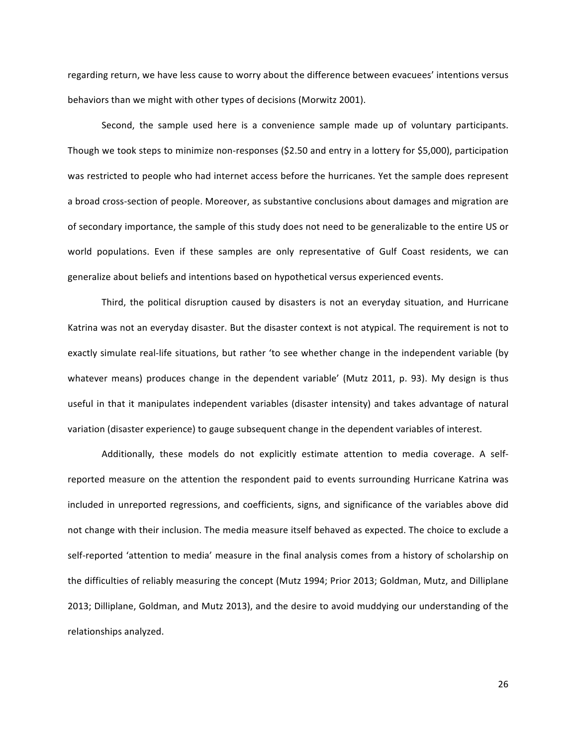regarding return, we have less cause to worry about the difference between evacuees' intentions versus behaviors than we might with other types of decisions (Morwitz 2001).

Second, the sample used here is a convenience sample made up of voluntary participants. Though we took steps to minimize non-responses (\$2.50 and entry in a lottery for \$5,000), participation was restricted to people who had internet access before the hurricanes. Yet the sample does represent a broad cross-section of people. Moreover, as substantive conclusions about damages and migration are of secondary importance, the sample of this study does not need to be generalizable to the entire US or world populations. Even if these samples are only representative of Gulf Coast residents, we can generalize about beliefs and intentions based on hypothetical versus experienced events.

Third, the political disruption caused by disasters is not an everyday situation, and Hurricane Katrina was not an everyday disaster. But the disaster context is not atypical. The requirement is not to exactly simulate real-life situations, but rather 'to see whether change in the independent variable (by whatever means) produces change in the dependent variable' (Mutz 2011, p. 93). My design is thus useful in that it manipulates independent variables (disaster intensity) and takes advantage of natural variation (disaster experience) to gauge subsequent change in the dependent variables of interest.

Additionally, these models do not explicitly estimate attention to media coverage. A selfreported measure on the attention the respondent paid to events surrounding Hurricane Katrina was included in unreported regressions, and coefficients, signs, and significance of the variables above did not change with their inclusion. The media measure itself behaved as expected. The choice to exclude a self-reported 'attention to media' measure in the final analysis comes from a history of scholarship on the difficulties of reliably measuring the concept (Mutz 1994; Prior 2013; Goldman, Mutz, and Dilliplane 2013; Dilliplane, Goldman, and Mutz 2013), and the desire to avoid muddying our understanding of the relationships analyzed.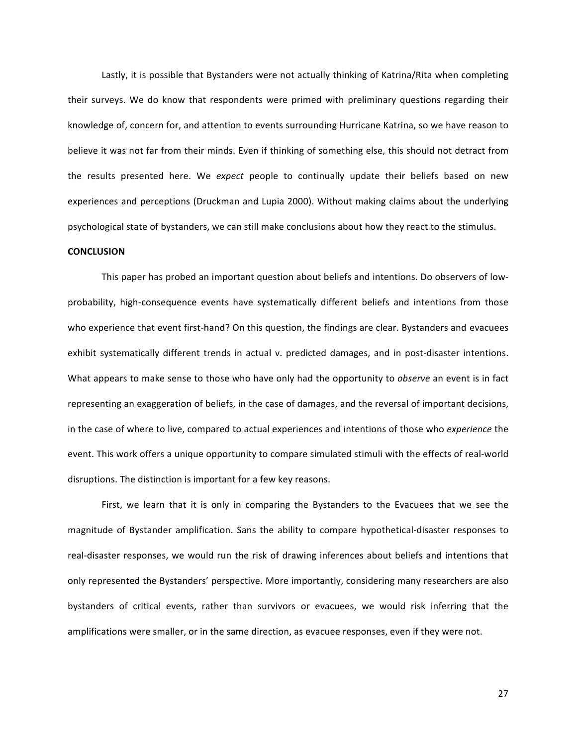Lastly, it is possible that Bystanders were not actually thinking of Katrina/Rita when completing their surveys. We do know that respondents were primed with preliminary questions regarding their knowledge of, concern for, and attention to events surrounding Hurricane Katrina, so we have reason to believe it was not far from their minds. Even if thinking of something else, this should not detract from the results presented here. We *expect* people to continually update their beliefs based on new experiences and perceptions (Druckman and Lupia 2000). Without making claims about the underlying psychological state of bystanders, we can still make conclusions about how they react to the stimulus.

#### **CONCLUSION**

This paper has probed an important question about beliefs and intentions. Do observers of lowprobability, high-consequence events have systematically different beliefs and intentions from those who experience that event first-hand? On this question, the findings are clear. Bystanders and evacuees exhibit systematically different trends in actual v. predicted damages, and in post-disaster intentions. What appears to make sense to those who have only had the opportunity to *observe* an event is in fact representing an exaggeration of beliefs, in the case of damages, and the reversal of important decisions, in the case of where to live, compared to actual experiences and intentions of those who *experience* the event. This work offers a unique opportunity to compare simulated stimuli with the effects of real-world disruptions. The distinction is important for a few key reasons.

First, we learn that it is only in comparing the Bystanders to the Evacuees that we see the magnitude of Bystander amplification. Sans the ability to compare hypothetical-disaster responses to real-disaster responses, we would run the risk of drawing inferences about beliefs and intentions that only represented the Bystanders' perspective. More importantly, considering many researchers are also bystanders of critical events, rather than survivors or evacuees, we would risk inferring that the amplifications were smaller, or in the same direction, as evacuee responses, even if they were not.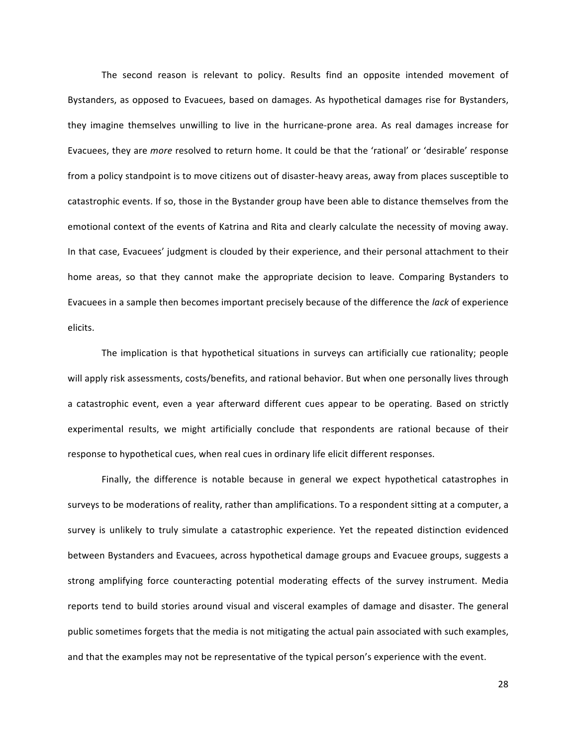The second reason is relevant to policy. Results find an opposite intended movement of Bystanders, as opposed to Evacuees, based on damages. As hypothetical damages rise for Bystanders, they imagine themselves unwilling to live in the hurricane-prone area. As real damages increase for Evacuees, they are *more* resolved to return home. It could be that the 'rational' or 'desirable' response from a policy standpoint is to move citizens out of disaster-heavy areas, away from places susceptible to catastrophic events. If so, those in the Bystander group have been able to distance themselves from the emotional context of the events of Katrina and Rita and clearly calculate the necessity of moving away. In that case, Evacuees' judgment is clouded by their experience, and their personal attachment to their home areas, so that they cannot make the appropriate decision to leave. Comparing Bystanders to Evacuees in a sample then becomes important precisely because of the difference the *lack* of experience elicits.

The implication is that hypothetical situations in surveys can artificially cue rationality; people will apply risk assessments, costs/benefits, and rational behavior. But when one personally lives through a catastrophic event, even a year afterward different cues appear to be operating. Based on strictly experimental results, we might artificially conclude that respondents are rational because of their response to hypothetical cues, when real cues in ordinary life elicit different responses.

Finally, the difference is notable because in general we expect hypothetical catastrophes in surveys to be moderations of reality, rather than amplifications. To a respondent sitting at a computer, a survey is unlikely to truly simulate a catastrophic experience. Yet the repeated distinction evidenced between Bystanders and Evacuees, across hypothetical damage groups and Evacuee groups, suggests a strong amplifying force counteracting potential moderating effects of the survey instrument. Media reports tend to build stories around visual and visceral examples of damage and disaster. The general public sometimes forgets that the media is not mitigating the actual pain associated with such examples, and that the examples may not be representative of the typical person's experience with the event.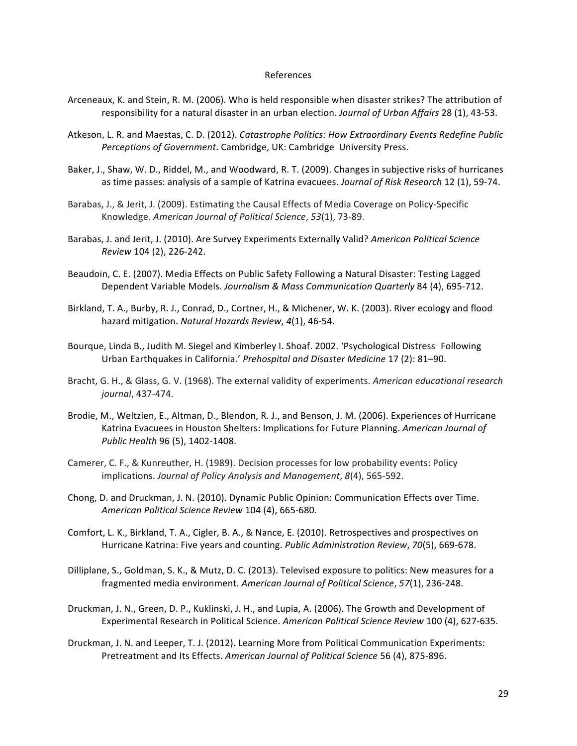#### References

- Arceneaux, K. and Stein, R. M. (2006). Who is held responsible when disaster strikes? The attribution of responsibility for a natural disaster in an urban election. *Journal of Urban Affairs* 28 (1), 43-53.
- Atkeson, L. R. and Maestas, C. D. (2012). *Catastrophe Politics: How Extraordinary Events Redefine Public Perceptions of Government.* Cambridge, UK: Cambridge University Press.
- Baker, J., Shaw, W. D., Riddel, M., and Woodward, R. T. (2009). Changes in subjective risks of hurricanes as time passes: analysis of a sample of Katrina evacuees. *Journal of Risk Research* 12 (1), 59-74.
- Barabas, J., & Jerit, J. (2009). Estimating the Causal Effects of Media Coverage on Policy-Specific Knowledge. *American Journal of Political Science*, *53*(1), 73-89.
- Barabas, J. and Jerit, J. (2010). Are Survey Experiments Externally Valid? American Political Science *Review* 104 (2), 226-242.
- Beaudoin, C. E. (2007). Media Effects on Public Safety Following a Natural Disaster: Testing Lagged Dependent Variable Models. *Journalism & Mass Communication Quarterly* 84 (4), 695-712.
- Birkland, T. A., Burby, R. J., Conrad, D., Cortner, H., & Michener, W. K. (2003). River ecology and flood hazard mitigation. *Natural Hazards Review*, 4(1), 46-54.
- Bourque, Linda B., Judith M. Siegel and Kimberley I. Shoaf. 2002. 'Psychological Distress Following Urban Earthquakes in California.' Prehospital and Disaster Medicine 17 (2): 81-90.
- Bracht, G. H., & Glass, G. V. (1968). The external validity of experiments. American educational research *journal*, 437-474.
- Brodie, M., Weltzien, E., Altman, D., Blendon, R. J., and Benson, J. M. (2006). Experiences of Hurricane Katrina Evacuees in Houston Shelters: Implications for Future Planning. American Journal of *Public Health* 96 (5), 1402-1408.
- Camerer, C. F., & Kunreuther, H. (1989). Decision processes for low probability events: Policy implications. Journal of Policy Analysis and Management, 8(4), 565-592.
- Chong, D. and Druckman, J. N. (2010). Dynamic Public Opinion: Communication Effects over Time. *American Political Science Review* 104 (4), 665-680.
- Comfort, L. K., Birkland, T. A., Cigler, B. A., & Nance, E. (2010). Retrospectives and prospectives on Hurricane Katrina: Five years and counting. *Public Administration Review, 70*(5), 669-678.
- Dilliplane, S., Goldman, S. K., & Mutz, D. C. (2013). Televised exposure to politics: New measures for a fragmented media environment. American Journal of Political Science, 57(1), 236-248.
- Druckman, J. N., Green, D. P., Kuklinski, J. H., and Lupia, A. (2006). The Growth and Development of Experimental Research in Political Science. *American Political Science Review* 100 (4), 627-635.
- Druckman, J. N. and Leeper, T. J. (2012). Learning More from Political Communication Experiments: Pretreatment and Its Effects. American Journal of Political Science 56 (4), 875-896.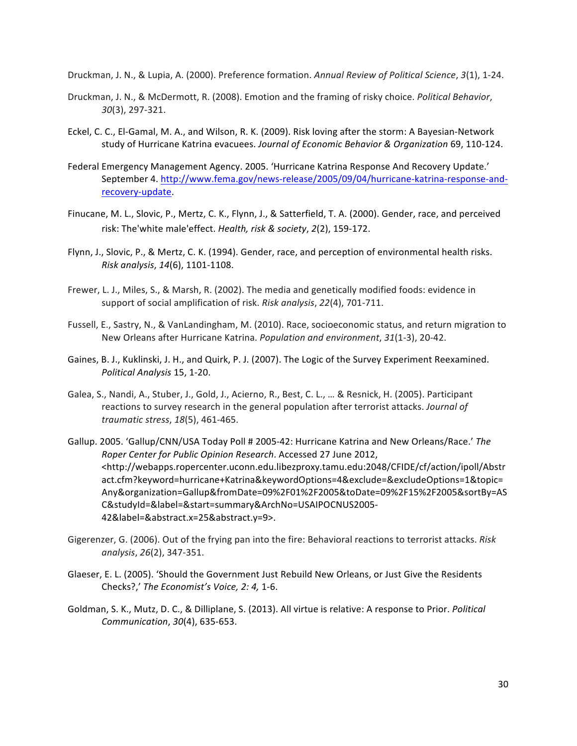Druckman, J. N., & Lupia, A. (2000). Preference formation. Annual Review of Political Science, 3(1), 1-24.

- Druckman, J. N., & McDermott, R. (2008). Emotion and the framing of risky choice. *Political Behavior*, *30*(3), 297-321.
- Eckel, C. C., El-Gamal, M. A., and Wilson, R. K. (2009). Risk loving after the storm: A Bayesian-Network study of Hurricane Katrina evacuees. Journal of Economic Behavior & Organization 69, 110-124.
- Federal Emergency Management Agency. 2005. 'Hurricane Katrina Response And Recovery Update.' September 4. http://www.fema.gov/news-release/2005/09/04/hurricane-katrina-response-andrecovery-update.
- Finucane, M. L., Slovic, P., Mertz, C. K., Flynn, J., & Satterfield, T. A. (2000). Gender, race, and perceived risk: The'white male'effect. *Health, risk & society, 2*(2), 159-172.
- Flynn, J., Slovic, P., & Mertz, C. K. (1994). Gender, race, and perception of environmental health risks. *Risk analysis*, *14*(6), 1101-1108.
- Frewer, L. J., Miles, S., & Marsh, R. (2002). The media and genetically modified foods: evidence in support of social amplification of risk. *Risk analysis*, 22(4), 701-711.
- Fussell, E., Sastry, N., & VanLandingham, M. (2010). Race, socioeconomic status, and return migration to New Orleans after Hurricane Katrina. *Population and environment*, 31(1-3), 20-42.
- Gaines, B. J., Kuklinski, J. H., and Quirk, P. J. (2007). The Logic of the Survey Experiment Reexamined. *Political Analysis* 15, 1-20.
- Galea, S., Nandi, A., Stuber, J., Gold, J., Acierno, R., Best, C. L., ... & Resnick, H. (2005). Participant reactions to survey research in the general population after terrorist attacks. *Journal of traumatic stress*, *18*(5), 461-465.
- Gallup. 2005. 'Gallup/CNN/USA Today Poll # 2005-42: Hurricane Katrina and New Orleans/Race.' The *Roper Center for Public Opinion Research*. Accessed 27 June 2012, <http://webapps.ropercenter.uconn.edu.libezproxy.tamu.edu:2048/CFIDE/cf/action/ipoll/Abstr act.cfm?keyword=hurricane+Katrina&keywordOptions=4&exclude=&excludeOptions=1&topic= Any&organization=Gallup&fromDate=09%2F01%2F2005&toDate=09%2F15%2F2005&sortBy=AS C&studyId=&label=&start=summary&ArchNo=USAIPOCNUS2005- 42&label=&abstract.x=25&abstract.y=9>.
- Gigerenzer, G. (2006). Out of the frying pan into the fire: Behavioral reactions to terrorist attacks. *Risk analysis*, *26*(2), 347-351.
- Glaeser, E. L. (2005). 'Should the Government Just Rebuild New Orleans, or Just Give the Residents Checks?,' The Economist's Voice, 2: 4, 1-6.
- Goldman, S. K., Mutz, D. C., & Dilliplane, S. (2013). All virtue is relative: A response to Prior. *Political Communication*, *30*(4), 635-653.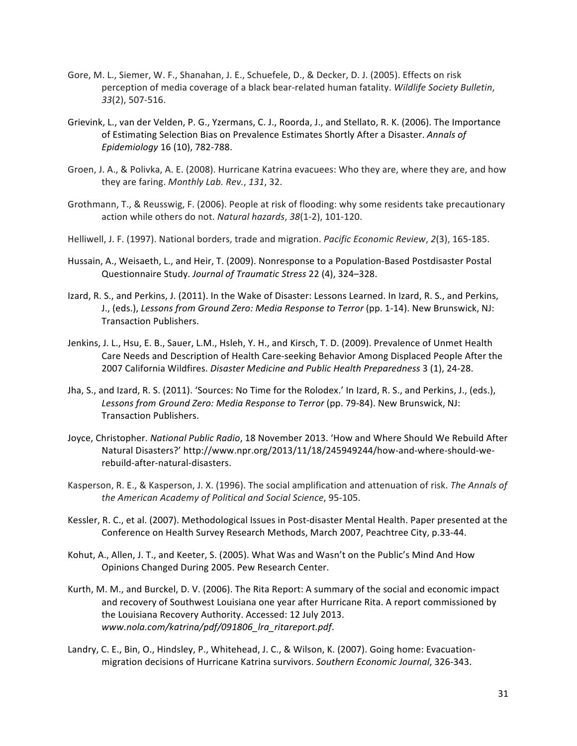- Gore, M. L., Siemer, W. F., Shanahan, J. E., Schuefele, D., & Decker, D. J. (2005). Effects on risk perception of media coverage of a black bear-related human fatality. Wildlife Society Bulletin, *33*(2), 507-516.
- Grievink, L., van der Velden, P. G., Yzermans, C. J., Roorda, J., and Stellato, R. K. (2006). The Importance of Estimating Selection Bias on Prevalence Estimates Shortly After a Disaster. Annals of *Epidemiology* 16 (10), 782-788.
- Groen, J. A., & Polivka, A. E. (2008). Hurricane Katrina evacuees: Who they are, where they are, and how they are faring. Monthly Lab. Rev., 131, 32.
- Grothmann, T., & Reusswig, F. (2006). People at risk of flooding: why some residents take precautionary action while others do not. *Natural hazards*, 38(1-2), 101-120.
- Helliwell, J. F. (1997). National borders, trade and migration. *Pacific Economic Review*, 2(3), 165-185.
- Hussain, A., Weisaeth, L., and Heir, T. (2009). Nonresponse to a Population-Based Postdisaster Postal Questionnaire Study. *Journal of Traumatic Stress* 22 (4), 324–328.
- Izard, R. S., and Perkins, J. (2011). In the Wake of Disaster: Lessons Learned. In Izard, R. S., and Perkins, J., (eds.), Lessons from Ground Zero: Media Response to Terror (pp. 1-14). New Brunswick, NJ: Transaction Publishers.
- Jenkins, J. L., Hsu, E. B., Sauer, L.M., Hsleh, Y. H., and Kirsch, T. D. (2009). Prevalence of Unmet Health Care Needs and Description of Health Care-seeking Behavior Among Displaced People After the 2007 California Wildfires. *Disaster Medicine and Public Health Preparedness* 3 (1), 24-28.
- Jha, S., and Izard, R. S. (2011). 'Sources: No Time for the Rolodex.' In Izard, R. S., and Perkins, J., (eds.), Lessons from Ground Zero: Media Response to Terror (pp. 79-84). New Brunswick, NJ: Transaction Publishers.
- Joyce, Christopher. *National Public Radio*, 18 November 2013. 'How and Where Should We Rebuild After Natural Disasters?' http://www.npr.org/2013/11/18/245949244/how-and-where-should-werebuild-after-natural-disasters.
- Kasperson, R. E., & Kasperson, J. X. (1996). The social amplification and attenuation of risk. The Annals of the American Academy of Political and Social Science, 95-105.
- Kessler, R. C., et al. (2007). Methodological Issues in Post-disaster Mental Health. Paper presented at the Conference on Health Survey Research Methods, March 2007, Peachtree City, p.33-44.
- Kohut, A., Allen, J. T., and Keeter, S. (2005). What Was and Wasn't on the Public's Mind And How Opinions Changed During 2005. Pew Research Center.
- Kurth, M. M., and Burckel, D. V. (2006). The Rita Report: A summary of the social and economic impact and recovery of Southwest Louisiana one year after Hurricane Rita. A report commissioned by the Louisiana Recovery Authority. Accessed: 12 July 2013. *www.nola.com/katrina/pdf/091806\_lra\_ritareport.pdf*.
- Landry, C. E., Bin, O., Hindsley, P., Whitehead, J. C., & Wilson, K. (2007). Going home: Evacuationmigration decisions of Hurricane Katrina survivors. Southern Economic Journal, 326-343.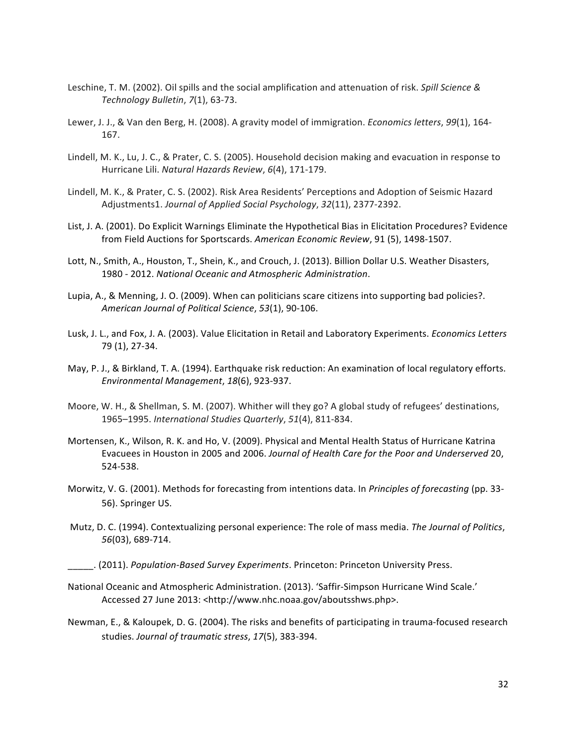- Leschine, T. M. (2002). Oil spills and the social amplification and attenuation of risk. *Spill Science & Technology Bulletin*, *7*(1), 63-73.
- Lewer, J. J., & Van den Berg, H. (2008). A gravity model of immigration. *Economics letters*, 99(1), 164-167.
- Lindell, M. K., Lu, J. C., & Prater, C. S. (2005). Household decision making and evacuation in response to Hurricane Lili. *Natural Hazards Review*, 6(4), 171-179.
- Lindell, M. K., & Prater, C. S. (2002). Risk Area Residents' Perceptions and Adoption of Seismic Hazard Adjustments1. *Journal of Applied Social Psychology*, 32(11), 2377-2392.
- List, J. A. (2001). Do Explicit Warnings Eliminate the Hypothetical Bias in Elicitation Procedures? Evidence from Field Auctions for Sportscards. American Economic Review, 91 (5), 1498-1507.
- Lott, N., Smith, A., Houston, T., Shein, K., and Crouch, J. (2013). Billion Dollar U.S. Weather Disasters, 1980 - 2012. *National Oceanic and Atmospheric Administration*.
- Lupia, A., & Menning, J. O. (2009). When can politicians scare citizens into supporting bad policies?. *American Journal of Political Science*, *53*(1), 90-106.
- Lusk, J. L., and Fox, J. A. (2003). Value Elicitation in Retail and Laboratory Experiments. *Economics Letters* 79 (1), 27-34.
- May, P. J., & Birkland, T. A. (1994). Earthquake risk reduction: An examination of local regulatory efforts. *Environmental Management*, *18*(6), 923-937.
- Moore, W. H., & Shellman, S. M. (2007). Whither will they go? A global study of refugees' destinations, 1965–1995. *International Studies Quarterly*, *51*(4), 811-834.
- Mortensen, K., Wilson, R. K. and Ho, V. (2009). Physical and Mental Health Status of Hurricane Katrina Evacuees in Houston in 2005 and 2006. Journal of Health Care for the Poor and Underserved 20, 524-538.
- Morwitz, V. G. (2001). Methods for forecasting from intentions data. In *Principles of forecasting* (pp. 33-56). Springer US.
- Mutz, D. C. (1994). Contextualizing personal experience: The role of mass media. The Journal of Politics, *56*(03), 689-714.
- \_\_\_\_\_. (2011). *Population-Based Survey Experiments*. Princeton: Princeton University Press.
- National Oceanic and Atmospheric Administration. (2013). 'Saffir-Simpson Hurricane Wind Scale.' Accessed 27 June 2013: <http://www.nhc.noaa.gov/aboutsshws.php>.
- Newman, E., & Kaloupek, D. G. (2004). The risks and benefits of participating in trauma-focused research studies. Journal of traumatic stress, 17(5), 383-394.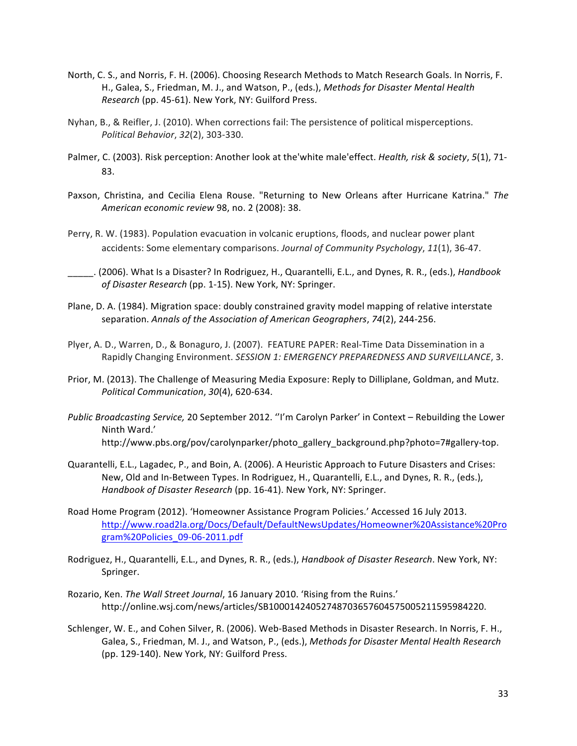- North, C. S., and Norris, F. H. (2006). Choosing Research Methods to Match Research Goals. In Norris, F. H., Galea, S., Friedman, M. J., and Watson, P., (eds.), Methods for Disaster Mental Health *Research* (pp. 45-61). New York, NY: Guilford Press.
- Nyhan, B., & Reifler, J. (2010). When corrections fail: The persistence of political misperceptions. *Political Behavior*, *32*(2), 303-330.
- Palmer, C. (2003). Risk perception: Another look at the'white male'effect. *Health, risk & society*, 5(1), 71-83.
- Paxson, Christina, and Cecilia Elena Rouse. "Returning to New Orleans after Hurricane Katrina." The *American economic review* 98, no. 2 (2008): 38.
- Perry, R. W. (1983). Population evacuation in volcanic eruptions, floods, and nuclear power plant accidents: Some elementary comparisons. *Journal of Community Psychology*, 11(1), 36-47.
- \_\_\_\_\_. (2006). What Is a Disaster? In Rodriguez, H., Quarantelli, E.L., and Dynes, R. R., (eds.), *Handbook* of Disaster Research (pp. 1-15). New York, NY: Springer.
- Plane, D. A. (1984). Migration space: doubly constrained gravity model mapping of relative interstate separation. Annals of the Association of American Geographers, 74(2), 244-256.
- Plyer, A. D., Warren, D., & Bonaguro, J. (2007). FEATURE PAPER: Real-Time Data Dissemination in a Rapidly Changing Environment. SESSION 1: EMERGENCY PREPAREDNESS AND SURVEILLANCE, 3.
- Prior, M. (2013). The Challenge of Measuring Media Exposure: Reply to Dilliplane, Goldman, and Mutz. *Political Communication*, *30*(4), 620-634.
- *Public Broadcasting Service,* 20 September 2012. "I'm Carolyn Parker' in Context Rebuilding the Lower Ninth Ward.' http://www.pbs.org/pov/carolynparker/photo\_gallery\_background.php?photo=7#gallery-top.
- Quarantelli, E.L., Lagadec, P., and Boin, A. (2006). A Heuristic Approach to Future Disasters and Crises: New, Old and In-Between Types. In Rodriguez, H., Quarantelli, E.L., and Dynes, R. R., (eds.), *Handbook of Disaster Research* (pp. 16-41). New York, NY: Springer.
- Road Home Program (2012). 'Homeowner Assistance Program Policies.' Accessed 16 July 2013. http://www.road2la.org/Docs/Default/DefaultNewsUpdates/Homeowner%20Assistance%20Pro gram%20Policies\_09-06-2011.pdf
- Rodriguez, H., Quarantelli, E.L., and Dynes, R. R., (eds.), *Handbook of Disaster Research*. New York, NY: Springer.
- Rozario, Ken. The Wall Street Journal, 16 January 2010. 'Rising from the Ruins.' http://online.wsj.com/news/articles/SB10001424052748703657604575005211595984220.
- Schlenger, W. E., and Cohen Silver, R. (2006). Web-Based Methods in Disaster Research. In Norris, F. H., Galea, S., Friedman, M. J., and Watson, P., (eds.), Methods for Disaster Mental Health Research (pp. 129-140). New York, NY: Guilford Press.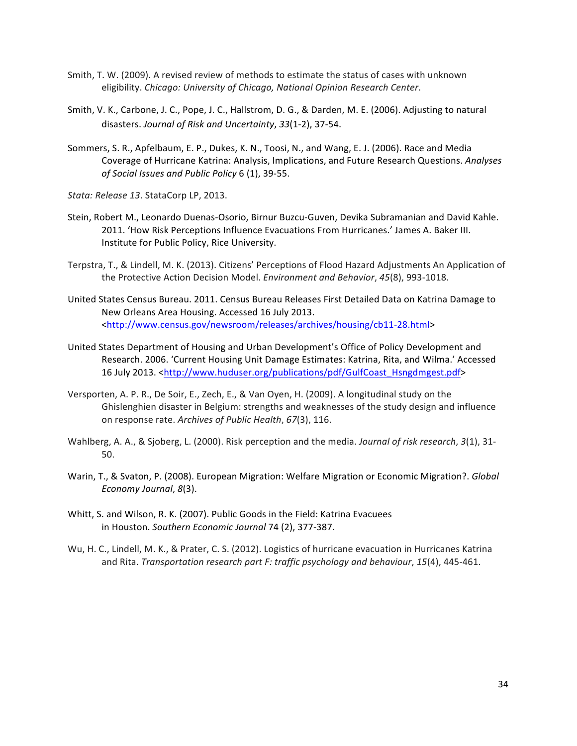- Smith, T. W. (2009). A revised review of methods to estimate the status of cases with unknown eligibility. Chicago: University of Chicago, National Opinion Research Center.
- Smith, V. K., Carbone, J. C., Pope, J. C., Hallstrom, D. G., & Darden, M. E. (2006). Adjusting to natural disasters. *Journal of Risk and Uncertainty*, *33*(1-2), 37-54.
- Sommers, S. R., Apfelbaum, E. P., Dukes, K. N., Toosi, N., and Wang, E. J. (2006). Race and Media Coverage of Hurricane Katrina: Analysis, Implications, and Future Research Questions. Analyses of Social Issues and Public Policy 6 (1), 39-55.
- Stata: Release 13. StataCorp LP, 2013.
- Stein, Robert M., Leonardo Duenas-Osorio, Birnur Buzcu-Guven, Devika Subramanian and David Kahle. 2011. 'How Risk Perceptions Influence Evacuations From Hurricanes.' James A. Baker III. Institute for Public Policy, Rice University.
- Terpstra, T., & Lindell, M. K. (2013). Citizens' Perceptions of Flood Hazard Adjustments An Application of the Protective Action Decision Model. *Environment and Behavior*, 45(8), 993-1018.
- United States Census Bureau. 2011. Census Bureau Releases First Detailed Data on Katrina Damage to New Orleans Area Housing. Accessed 16 July 2013. <http://www.census.gov/newsroom/releases/archives/housing/cb11-28.html>
- United States Department of Housing and Urban Development's Office of Policy Development and Research. 2006. 'Current Housing Unit Damage Estimates: Katrina, Rita, and Wilma.' Accessed 16 July 2013. <http://www.huduser.org/publications/pdf/GulfCoast\_Hsngdmgest.pdf>
- Versporten, A. P. R., De Soir, E., Zech, E., & Van Oyen, H. (2009). A longitudinal study on the Ghislenghien disaster in Belgium: strengths and weaknesses of the study design and influence on response rate. Archives of Public Health, 67(3), 116.
- Wahlberg, A. A., & Sjoberg, L. (2000). Risk perception and the media. *Journal of risk research*, 3(1), 31-50.
- Warin, T., & Svaton, P. (2008). European Migration: Welfare Migration or Economic Migration?. *Global Economy Journal, 8(3).*
- Whitt, S. and Wilson, R. K. (2007). Public Goods in the Field: Katrina Evacuees in Houston. Southern Economic Journal 74 (2), 377-387.
- Wu, H. C., Lindell, M. K., & Prater, C. S. (2012). Logistics of hurricane evacuation in Hurricanes Katrina and Rita. *Transportation research part F: traffic psychology and behaviour, 15(4), 445-461.*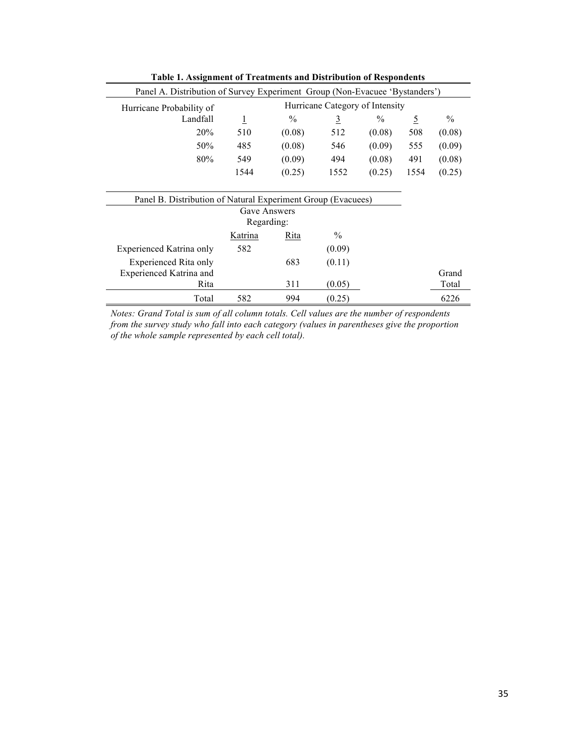| rapic r. Assignment or rreatments and Distribution or respondents           |                                 |        |                |               |                |        |  |  |
|-----------------------------------------------------------------------------|---------------------------------|--------|----------------|---------------|----------------|--------|--|--|
| Panel A. Distribution of Survey Experiment Group (Non-Evacuee 'Bystanders') |                                 |        |                |               |                |        |  |  |
| Hurricane Probability of                                                    | Hurricane Category of Intensity |        |                |               |                |        |  |  |
| Landfall                                                                    | $\overline{1}$                  | $\%$   | $\overline{3}$ | $\frac{0}{0}$ | $\overline{5}$ | $\%$   |  |  |
| 20%                                                                         | 510                             | (0.08) | 512            | (0.08)        | 508            | (0.08) |  |  |
| 50%                                                                         | 485                             | (0.08) | 546            | (0.09)        | 555            | (0.09) |  |  |
| 80%                                                                         | 549                             | (0.09) | 494            | (0.08)        | 491            | (0.08) |  |  |
|                                                                             | 1544                            | (0.25) | 1552           | (0.25)        | 1554           | (0.25) |  |  |
|                                                                             |                                 |        |                |               |                |        |  |  |
| Panel B. Distribution of Natural Experiment Group (Evacuees)                |                                 |        |                |               |                |        |  |  |
|                                                                             | Gave Answers                    |        |                |               |                |        |  |  |
| Regarding:                                                                  |                                 |        |                |               |                |        |  |  |
|                                                                             | Katrina                         | Rita   | $\%$           |               |                |        |  |  |
| <b>Experienced Katrina only</b>                                             | 582                             |        | (0.09)         |               |                |        |  |  |
| Experienced Rita only                                                       |                                 | 683    | (0.11)         |               |                |        |  |  |
| <b>Experienced Katrina and</b>                                              |                                 |        |                |               |                | Grand  |  |  |
| Rita                                                                        |                                 | 311    | (0.05)         |               |                | Total  |  |  |
| Total                                                                       | 582                             | 994    | (0.25)         |               |                | 6226   |  |  |

**Table 1. Assignment of Treatments and Distribution of Respondents**

*Notes: Grand Total is sum of all column totals. Cell values are the number of respondents from the survey study who fall into each category (values in parentheses give the proportion of the whole sample represented by each cell total).*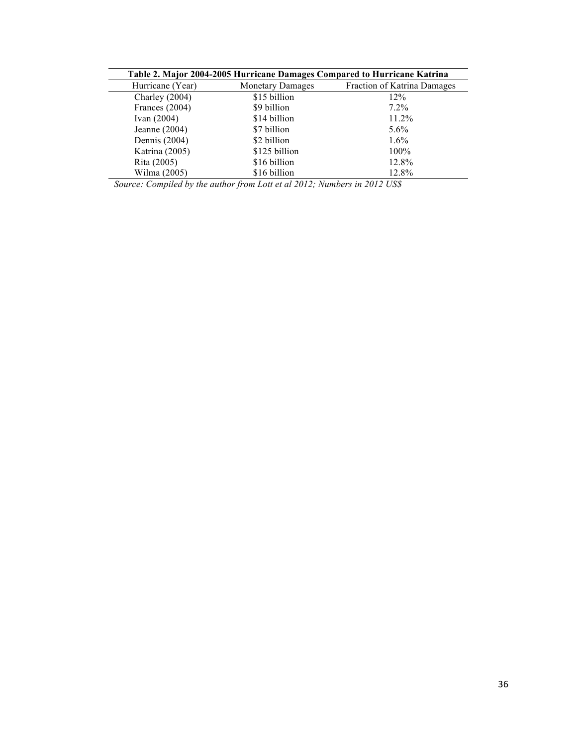| Table 2. Major 2004-2005 Hurricane Damages Compared to Hurricane Katrina |                         |                             |  |  |  |  |
|--------------------------------------------------------------------------|-------------------------|-----------------------------|--|--|--|--|
| Hurricane (Year)                                                         | <b>Monetary Damages</b> | Fraction of Katrina Damages |  |  |  |  |
| Charley $(2004)$                                                         | \$15 billion            | 12%                         |  |  |  |  |
| Frances (2004)                                                           | \$9 billion             | $7.2\%$                     |  |  |  |  |
| Ivan $(2004)$                                                            | \$14 billion            | 11.2%                       |  |  |  |  |
| Jeanne $(2004)$                                                          | \$7 billion             | $5.6\%$                     |  |  |  |  |
| Dennis (2004)                                                            | \$2 billion             | $1.6\%$                     |  |  |  |  |
| Katrina (2005)                                                           | \$125 billion           | $100\%$                     |  |  |  |  |
| Rita (2005)                                                              | \$16 billion            | 12.8%                       |  |  |  |  |
| Wilma (2005)                                                             | \$16 billion            | 12.8%                       |  |  |  |  |

*Source: Compiled by the author from Lott et al 2012; Numbers in 2012 US\$*